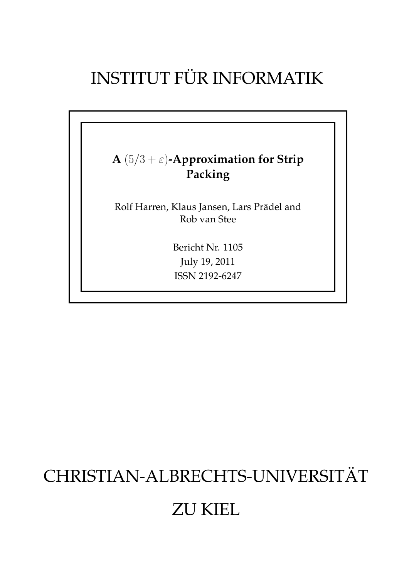## INSTITUT FÜR INFORMATIK

## **A** (5/3 + ε)**-Approximation for Strip Packing**

Rolf Harren, Klaus Jansen, Lars Prädel and Rob van Stee

> Bericht Nr. 1105 July 19, 2011 ISSN 2192-6247

# CHRISTIAN-ALBRECHTS-UNIVERSITAT¨ ZU KIEL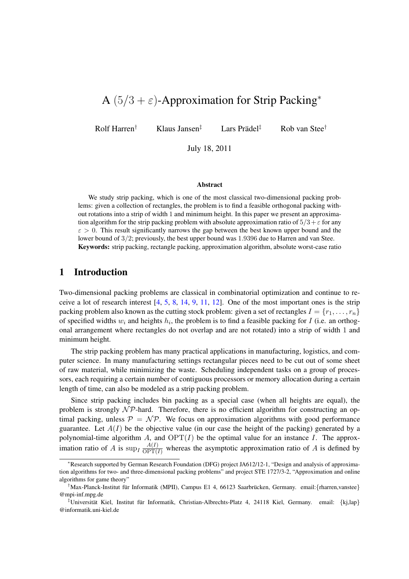### A  $(5/3 + \varepsilon)$ -Approximation for Strip Packing<sup>\*</sup>

Rolf Harren<sup>†</sup> Klaus Jansen<sup>‡</sup> Lars Prädel<sup>‡</sup>

Rob van Stee<sup>†</sup>

July 18, 2011

#### Abstract

We study strip packing, which is one of the most classical two-dimensional packing problems: given a collection of rectangles, the problem is to find a feasible orthogonal packing without rotations into a strip of width 1 and minimum height. In this paper we present an approximation algorithm for the strip packing problem with absolute approximation ratio of  $5/3 + \epsilon$  for any  $\epsilon > 0$ . This result significantly narrows the gap between the best known upper bound and the lower bound of 3/2; previously, the best upper bound was 1.9396 due to Harren and van Stee. Keywords: strip packing, rectangle packing, approximation algorithm, absolute worst-case ratio

#### 1 Introduction

Two-dimensional packing problems are classical in combinatorial optimization and continue to receive a lot of research interest  $[4, 5, 8, 14, 9, 11, 12]$ . One of the most important ones is the strip packing problem also known as the cutting stock problem: given a set of rectangles  $I = \{r_1, \ldots, r_n\}$ of specified widths  $w_i$  and heights  $h_i$ , the problem is to find a feasible packing for I (i.e. an orthogonal arrangement where rectangles do not overlap and are not rotated) into a strip of width 1 and minimum height.

The strip packing problem has many practical applications in manufacturing, logistics, and computer science. In many manufacturing settings rectangular pieces need to be cut out of some sheet of raw material, while minimizing the waste. Scheduling independent tasks on a group of processors, each requiring a certain number of contiguous processors or memory allocation during a certain length of time, can also be modeled as a strip packing problem.

Since strip packing includes bin packing as a special case (when all heights are equal), the problem is strongly  $N\mathcal{P}$ -hard. Therefore, there is no efficient algorithm for constructing an optimal packing, unless  $P = \mathcal{NP}$ . We focus on approximation algorithms with good performance guarantee. Let  $A(I)$  be the objective value (in our case the height of the packing) generated by a polynomial-time algorithm A, and  $\text{OPT}(I)$  be the optimal value for an instance I. The approximation ratio of A is  $\sup_I \frac{A(I)}{\text{OPT}(I)}$  whereas the asymptotic approximation ratio of A is defined by

<sup>∗</sup>Research supported by German Research Foundation (DFG) project JA612/12-1, "Design and analysis of approximation algorithms for two- and three-dimensional packing problems" and project STE 1727/3-2, "Approximation and online algorithms for game theory"

<sup>&</sup>lt;sup>†</sup>Max-Planck-Institut für Informatik (MPII), Campus E1 4, 66123 Saarbrücken, Germany. email: {rharren,vanstee} @mpi-inf.mpg.de

 $^{\ddagger}$ Universität Kiel, Institut für Informatik, Christian-Albrechts-Platz 4, 24118 Kiel, Germany. email: {ki,lap} @informatik.uni-kiel.de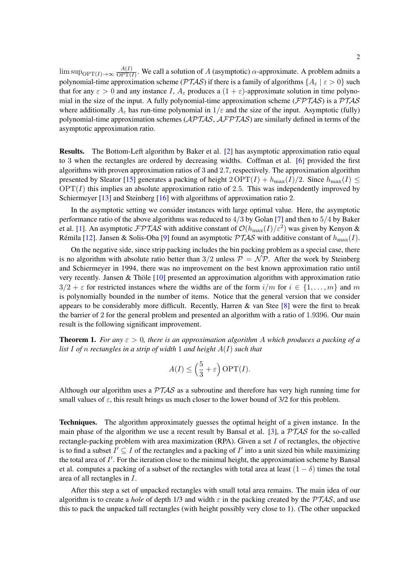$\limsup_{\text{OPT}(I)\to\infty} \frac{A(I)}{\text{OPT}(I)}$  $\frac{A(I)}{\text{OPT}(I)}$ . We call a solution of A (asymptotic)  $\alpha$ -approximate. A problem admits a polynomial-time approximation scheme ( $\mathcal{PTAS}$ ) if there is a family of algorithms  $\{A_{\varepsilon} \mid \varepsilon > 0\}$  such that for any  $\varepsilon > 0$  and any instance I,  $A_{\varepsilon}$  produces a  $(1 + \varepsilon)$ -approximate solution in time polynomial in the size of the input. A fully polynomial-time approximation scheme ( $FPTAS$ ) is a  $PTAS$ where additionally  $A_{\varepsilon}$  has run-time polynomial in  $1/\varepsilon$  and the size of the input. Asymptotic (fully) polynomial-time approximation schemes  $(\mathcal{APTAS}, \mathcal{A}\mathcal{FPTAS})$  are similarly defined in terms of the asymptotic approximation ratio.

Results. The Bottom-Left algorithm by Baker et al. [2] has asymptotic approximation ratio equal to 3 when the rectangles are ordered by decreasing widths. Coffman et al. [6] provided the first algorithms with proven approximation ratios of 3 and 2.7, respectively. The approximation algorithm presented by Sleator [15] generates a packing of height  $2 \text{OPT}(I) + h_{\text{max}}(I)/2$ . Since  $h_{\text{max}}(I) \le$  $\text{OPT}(I)$  this implies an absolute approximation ratio of 2.5. This was independently improved by Schiermeyer [13] and Steinberg [16] with algorithms of approximation ratio 2.

In the asymptotic setting we consider instances with large optimal value. Here, the asymptotic performance ratio of the above algorithms was reduced to  $4/3$  by Golan [7] and then to  $5/4$  by Baker et al. [1]. An asymptotic  $FPTAS$  with additive constant of  $\mathcal{O}(h_{\max}(I)/\varepsilon^2)$  was given by Kenyon & Rémila [12]. Jansen & Solis-Oba [9] found an asymptotic  $PTAS$  with additive constant of  $h_{\text{max}}(I)$ .

On the negative side, since strip packing includes the bin packing problem as a special case, there is no algorithm with absolute ratio better than  $3/2$  unless  $P = \mathcal{NP}$ . After the work by Steinberg and Schiermeyer in 1994, there was no improvement on the best known approximation ratio until very recently. Jansen & Thöle  $[10]$  presented an approximation algorithm with approximation ratio  $3/2 + \varepsilon$  for restricted instances where the widths are of the form  $i/m$  for  $i \in \{1, ..., m\}$  and m is polynomially bounded in the number of items. Notice that the general version that we consider appears to be considerably more difficult. Recently, Harren  $\&$  van Stee [8] were the first to break the barrier of 2 for the general problem and presented an algorithm with a ratio of 1.9396. Our main result is the following significant improvement.

Theorem 1. *For any* ε > 0*, there is an approximation algorithm* A *which produces a packing of a list* I *of* n *rectangles in a strip of width* 1 *and height* A(I) *such that*

$$
A(I) \le \left(\frac{5}{3} + \varepsilon\right) \text{OPT}(I).
$$

Although our algorithm uses a  $PTAS$  as a subroutine and therefore has very high running time for small values of  $\varepsilon$ , this result brings us much closer to the lower bound of 3/2 for this problem.

Techniques. The algorithm approximately guesses the optimal height of a given instance. In the main phase of the algorithm we use a recent result by Bansal et al. [3], a  $PTAS$  for the so-called rectangle-packing problem with area maximization (RPA). Given a set I of rectangles, the objective is to find a subset  $I' \subseteq I$  of the rectangles and a packing of  $I'$  into a unit sized bin while maximizing the total area of  $I'$ . For the iteration close to the minimal height, the approximation scheme by Bansal et al. computes a packing of a subset of the rectangles with total area at least  $(1 - \delta)$  times the total area of all rectangles in I.

After this step a set of unpacked rectangles with small total area remains. The main idea of our algorithm is to create a *hole* of depth 1/3 and width  $\varepsilon$  in the packing created by the  $PTAS$ , and use this to pack the unpacked tall rectangles (with height possibly very close to 1). (The other unpacked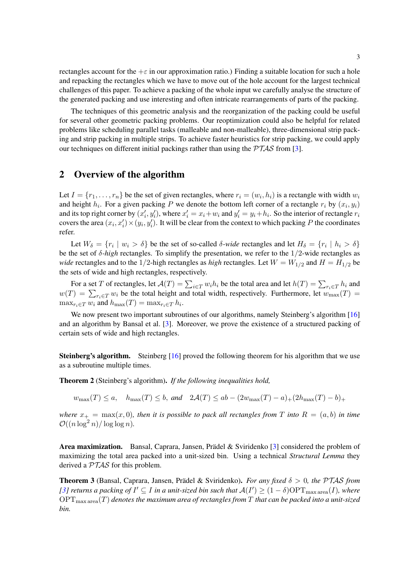rectangles account for the  $+\varepsilon$  in our approximation ratio.) Finding a suitable location for such a hole and repacking the rectangles which we have to move out of the hole account for the largest technical challenges of this paper. To achieve a packing of the whole input we carefully analyse the structure of the generated packing and use interesting and often intricate rearrangements of parts of the packing.

The techniques of this geometric analysis and the reorganization of the packing could be useful for several other geometric packing problems. Our reoptimization could also be helpful for related problems like scheduling parallel tasks (malleable and non-malleable), three-dimensional strip packing and strip packing in multiple strips. To achieve faster heuristics for strip packing, we could apply our techniques on different initial packings rather than using the  $PTAS$  from [3].

#### 2 Overview of the algorithm

Let  $I = \{r_1, \ldots, r_n\}$  be the set of given rectangles, where  $r_i = (w_i, h_i)$  is a rectangle with width  $w_i$ and height  $h_i$ . For a given packing P we denote the bottom left corner of a rectangle  $r_i$  by  $(x_i, y_i)$ and its top right corner by  $(x'_i, y'_i)$ , where  $x'_i = x_i + w_i$  and  $y'_i = y_i + h_i$ . So the interior of rectangle  $r_i$ covers the area  $(x_i, x'_i) \times (y_i, y'_i)$ . It will be clear from the context to which packing P the coordinates refer.

Let  $W_{\delta} = \{r_i \mid w_i > \delta\}$  be the set of so-called  $\delta$ -wide rectangles and let  $H_{\delta} = \{r_i \mid h_i > \delta\}$ be the set of δ*-high* rectangles. To simplify the presentation, we refer to the 1/2-wide rectangles as *wide* rectangles and to the 1/2-high rectangles as *high* rectangles. Let  $W = W_{1/2}$  and  $H = H_{1/2}$  be the sets of wide and high rectangles, respectively.

For a set T of rectangles, let  $\mathcal{A}(T) = \sum_{i \in T} w_i h_i$  be the total area and let  $h(T) = \sum_{r_i \in T} h_i$  and  $w(T) = \sum_{r_i \in T} w_i$  be the total height and total width, respectively. Furthermore, let  $w_{\text{max}}(T) =$  $\max_{r_i \in T} w_i$  and  $h_{\max}(T) = \max_{r_i \in T} h_i$ .

We now present two important subroutines of our algorithms, namely Steinberg's algorithm [16] and an algorithm by Bansal et al. [3]. Moreover, we prove the existence of a structured packing of certain sets of wide and high rectangles.

Steinberg's algorithm. Steinberg [16] proved the following theorem for his algorithm that we use as a subroutine multiple times.

Theorem 2 (Steinberg's algorithm). *If the following inequalities hold,*

$$
w_{\max}(T) \le a
$$
,  $h_{\max}(T) \le b$ , and  $2\mathcal{A}(T) \le ab - (2w_{\max}(T) - a) + (2h_{\max}(T) - b) +$ 

*where*  $x_+ = \max(x, 0)$ *, then it is possible to pack all rectangles from* T *into*  $R = (a, b)$  *in time*  $\mathcal{O}((n \log^2 n) / \log \log n)$ .

Area maximization. Bansal, Caprara, Jansen, Prädel & Sviridenko  $\lceil 3 \rceil$  considered the problem of maximizing the total area packed into a unit-sized bin. Using a technical *Structural Lemma* they derived a  $PTAS$  for this problem.

**Theorem 3** (Bansal, Caprara, Jansen, Prädel & Sviridenko). For any fixed  $\delta > 0$ , the PTAS from [3] returns a packing of  $I' \subseteq I$  in a unit-sized bin such that  $A(I') \geq (1 - \delta)OPT_{\max \text{area}}(I)$ , where OPTmax area(T) *denotes the maximum area of rectangles from* T *that can be packed into a unit-sized bin.*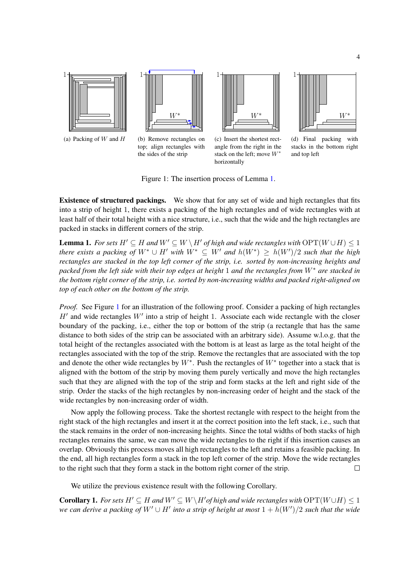

(a) Packing of  $W$  and  $H$ 



(b) Remove rectangles on top; align rectangles with the sides of the strip



(c) Insert the shortest rectangle from the right in the stack on the left; move  $W^*$ horizontally



(d) Final packing with stacks in the bottom right and top left

Figure 1: The insertion process of Lemma 1.

Existence of structured packings. We show that for any set of wide and high rectangles that fits into a strip of height 1, there exists a packing of the high rectangles and of wide rectangles with at least half of their total height with a nice structure, i.e., such that the wide and the high rectangles are packed in stacks in different corners of the strip.

**Lemma 1.** *For sets*  $H' \subseteq H$  *and*  $W' \subseteq W \setminus H'$  *of high and wide rectangles with*  $\text{OPT}(W \cup H) \leq 1$ *there exists a packing of*  $W^* \cup H'$  *with*  $W^* \subseteq W'$  *and*  $h(W^*) \geq h(W')/2$  *such that the high rectangles are stacked in the top left corner of the strip, i.e. sorted by non-increasing heights and packed from the left side with their top edges at height* 1 *and the rectangles from* W<sup>∗</sup> *are stacked in the bottom right corner of the strip, i.e. sorted by non-increasing widths and packed right-aligned on top of each other on the bottom of the strip.*

*Proof.* See Figure 1 for an illustration of the following proof. Consider a packing of high rectangles  $H'$  and wide rectangles  $W'$  into a strip of height 1. Associate each wide rectangle with the closer boundary of the packing, i.e., either the top or bottom of the strip (a rectangle that has the same distance to both sides of the strip can be associated with an arbitrary side). Assume w.l.o.g. that the total height of the rectangles associated with the bottom is at least as large as the total height of the rectangles associated with the top of the strip. Remove the rectangles that are associated with the top and denote the other wide rectangles by  $W^*$ . Push the rectangles of  $W^*$  together into a stack that is aligned with the bottom of the strip by moving them purely vertically and move the high rectangles such that they are aligned with the top of the strip and form stacks at the left and right side of the strip. Order the stacks of the high rectangles by non-increasing order of height and the stack of the wide rectangles by non-increasing order of width.

Now apply the following process. Take the shortest rectangle with respect to the height from the right stack of the high rectangles and insert it at the correct position into the left stack, i.e., such that the stack remains in the order of non-increasing heights. Since the total widths of both stacks of high rectangles remains the same, we can move the wide rectangles to the right if this insertion causes an overlap. Obviously this process moves all high rectangles to the left and retains a feasible packing. In the end, all high rectangles form a stack in the top left corner of the strip. Move the wide rectangles to the right such that they form a stack in the bottom right corner of the strip.  $\Box$ 

We utilize the previous existence result with the following Corollary.

**Corollary 1.** *For sets*  $H' \subseteq H$  *and*  $W' \subseteq W \setminus H'$  *of high and wide rectangles with*  $\text{OPT}(W \cup H) \leq 1$ we can derive a packing of  $W' \cup H'$  into a strip of height at most  $1 + h(W')/2$  such that the wide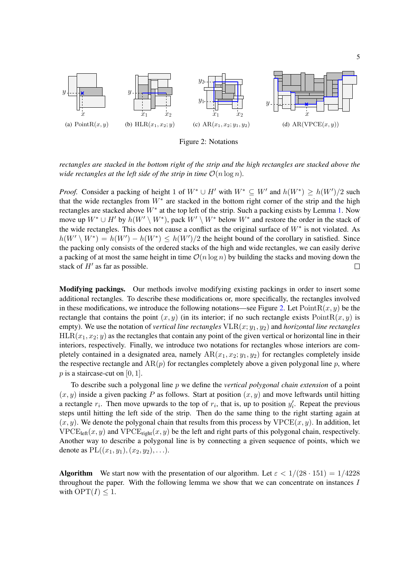

Figure 2: Notations

*rectangles are stacked in the bottom right of the strip and the high rectangles are stacked above the wide rectangles at the left side of the strip in time*  $\mathcal{O}(n \log n)$ *.* 

*Proof.* Consider a packing of height 1 of  $W^* \cup H'$  with  $W^* \subseteq W'$  and  $h(W^*) \ge h(W')/2$  such that the wide rectangles from  $W^*$  are stacked in the bottom right corner of the strip and the high rectangles are stacked above  $W^*$  at the top left of the strip. Such a packing exists by Lemma 1. Now move up  $W^* \cup H'$  by  $h(W' \setminus W^*)$ , pack  $W' \setminus W^*$  below  $W^*$  and restore the order in the stack of the wide rectangles. This does not cause a conflict as the original surface of  $W^*$  is not violated. As  $h(W' \setminus W^*) = h(W') - h(W^*) \leq h(W')/2$  the height bound of the corollary in satisfied. Since the packing only consists of the ordered stacks of the high and wide rectangles, we can easily derive a packing of at most the same height in time  $\mathcal{O}(n \log n)$  by building the stacks and moving down the stack of  $H'$  as far as possible. stack of  $H'$  as far as possible.

Modifying packings. Our methods involve modifying existing packings in order to insert some additional rectangles. To describe these modifications or, more specifically, the rectangles involved in these modifications, we introduce the following notations—see Figure 2. Let  $PointR(x, y)$  be the rectangle that contains the point  $(x, y)$  (in its interior; if no such rectangle exists  $PointR(x, y)$  is empty). We use the notation of *vertical line rectangles*  $VLR(x; y_1, y_2)$  and *horizontal line rectangles*  $HLR(x_1, x_2; y)$  as the rectangles that contain any point of the given vertical or horizontal line in their interiors, respectively. Finally, we introduce two notations for rectangles whose interiors are completely contained in a designated area, namely  $AR(x_1, x_2; y_1, y_2)$  for rectangles completely inside the respective rectangle and  $AR(p)$  for rectangles completely above a given polygonal line p, where  $p$  is a staircase-cut on [0, 1].

To describe such a polygonal line p we define the *vertical polygonal chain extension* of a point  $(x, y)$  inside a given packing P as follows. Start at position  $(x, y)$  and move leftwards until hitting a rectangle  $r_i$ . Then move upwards to the top of  $r_i$ , that is, up to position  $y'_i$ . Repeat the previous steps until hitting the left side of the strip. Then do the same thing to the right starting again at  $(x, y)$ . We denote the polygonal chain that results from this process by  $\text{VPCE}(x, y)$ . In addition, let  $VPCE<sub>left</sub>(x, y)$  and  $VPCE<sub>right</sub>(x, y)$  be the left and right parts of this polygonal chain, respectively. Another way to describe a polygonal line is by connecting a given sequence of points, which we denote as  $PL((x_1, y_1), (x_2, y_2), \ldots).$ 

**Algorithm** We start now with the presentation of our algorithm. Let  $\varepsilon < 1/(28 \cdot 151) = 1/4228$ throughout the paper. With the following lemma we show that we can concentrate on instances  $I$ with  $\text{OPT}(I) \leq 1$ .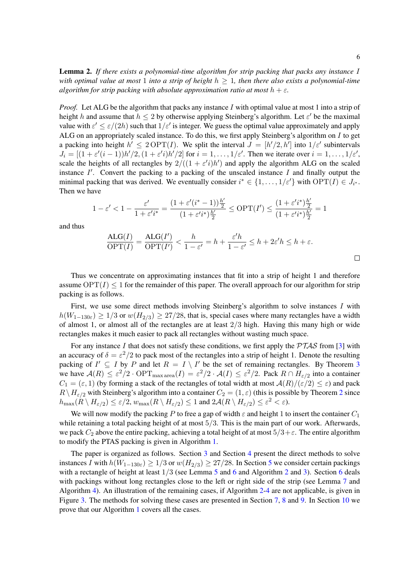Lemma 2. *If there exists a polynomial-time algorithm for strip packing that packs any instance* I *with optimal value at most* 1 *into a strip of height* h ≥ 1*, then there also exists a polynomial-time algorithm for strip packing with absolute approximation ratio at most*  $h + \varepsilon$ *.* 

*Proof.* Let ALG be the algorithm that packs any instance I with optimal value at most 1 into a strip of height h and assume that  $h \le 2$  by otherwise applying Steinberg's algorithm. Let  $\varepsilon'$  be the maximal value with  $\varepsilon' \leq \varepsilon/(2h)$  such that  $1/\varepsilon'$  is integer. We guess the optimal value approximately and apply ALG on an appropriately scaled instance. To do this, we first apply Steinberg's algorithm on I to get a packing into height  $h' \leq 2 \text{OPT}(I)$ . We split the interval  $J = [h'/2, h']$  into  $1/\varepsilon'$  subintervals  $J_i = [(1 + \varepsilon'(i-1))h'/2, (1 + \varepsilon' i)h'/2]$  for  $i = 1, ..., 1/\varepsilon'$ . Then we iterate over  $i = 1, ..., 1/\varepsilon'$ , scale the heights of all rectangles by  $2/((1 + \varepsilon' i)h')$  and apply the algorithm ALG on the scaled instance  $I'$ . Convert the packing to a packing of the unscaled instance  $I$  and finally output the minimal packing that was derived. We eventually consider  $i^* \in \{1, ..., 1/\varepsilon'\}$  with  $\text{OPT}(I) \in J_{i^*}$ . Then we have

$$
1-\varepsilon'<1-\frac{\varepsilon'}{1+\varepsilon'i^*}=\frac{(1+\varepsilon'(i^*-1))\frac{h'}{2}}{(1+\varepsilon'i^*)\frac{h'}{2}}\leq \textnormal{OPT}(I')\leq \frac{(1+\varepsilon'i^*)\frac{h'}{2}}{(1+\varepsilon'i^*)\frac{h'}{2}}=1
$$

and thus

$$
\frac{\text{ALG}(I)}{\text{OPT}(I)} = \frac{\text{ALG}(I')}{\text{OPT}(I')} < \frac{h}{1 - \varepsilon'} = h + \frac{\varepsilon'h}{1 - \varepsilon'} \leq h + 2\varepsilon'h \leq h + \varepsilon.
$$

Thus we concentrate on approximating instances that fit into a strip of height 1 and therefore assume  $\text{OPT}(I) \leq 1$  for the remainder of this paper. The overall approach for our algorithm for strip packing is as follows.

First, we use some direct methods involving Steinberg's algorithm to solve instances I with  $h(W_{1-130\varepsilon}) \ge 1/3$  or  $w(H_{2/3}) \ge 27/28$ , that is, special cases where many rectangles have a width of almost 1, or almost all of the rectangles are at least 2/3 high. Having this many high or wide rectangles makes it much easier to pack all rectangles without wasting much space.

For any instance I that does not satisfy these conditions, we first apply the  $PTAS$  from [3] with an accuracy of  $\delta = \varepsilon^2/2$  to pack most of the rectangles into a strip of height 1. Denote the resulting packing of  $I' \subseteq I$  by P and let  $R = I \setminus I'$  be the set of remaining rectangles. By Theorem 3 we have  $A(R) \leq \varepsilon^2/2 \cdot \text{OPT}_{\text{max area}}(I) = \varepsilon^2/2 \cdot A(I) \leq \varepsilon^2/2$ . Pack  $R \cap H_{\varepsilon/2}$  into a container  $C_1 = (\varepsilon, 1)$  (by forming a stack of the rectangles of total width at most  $\mathcal{A}(R)/(\varepsilon/2) \leq \varepsilon$ ) and pack  $R\setminus H_{\varepsilon/2}$  with Steinberg's algorithm into a container  $C_2 = (1,\varepsilon)$  (this is possible by Theorem 2 since  $h_{\max}(R\setminus H_{\varepsilon/2})\leq \varepsilon/2, w_{\max}(R\setminus H_{\varepsilon/2})\leq 1$  and  $2{\cal A}(R\setminus H_{\varepsilon/2})\leq \varepsilon^2<\varepsilon)$ .

We will now modify the packing P to free a gap of width  $\varepsilon$  and height 1 to insert the container  $C_1$ while retaining a total packing height of at most 5/3. This is the main part of our work. Afterwards, we pack  $C_2$  above the entire packing, achieving a total height of at most  $5/3 + \varepsilon$ . The entire algorithm to modify the PTAS packing is given in Algorithm 1.

The paper is organized as follows. Section 3 and Section 4 present the direct methods to solve instances I with  $h(W_{1-130\varepsilon}) \ge 1/3$  or  $w(H_{2/3}) \ge 27/28$ . In Section 5 we consider certain packings with a rectangle of height at least  $1/3$  (see Lemma 5 and 6 and Algorithm 2 and 3). Section 6 deals with packings without long rectangles close to the left or right side of the strip (see Lemma 7 and Algorithm 4). An illustration of the remaining cases, if Algorithm 2-4 are not applicable, is given in Figure 3. The methods for solving these cases are presented in Section 7, 8 and 9. In Section 10 we prove that our Algorithm 1 covers all the cases.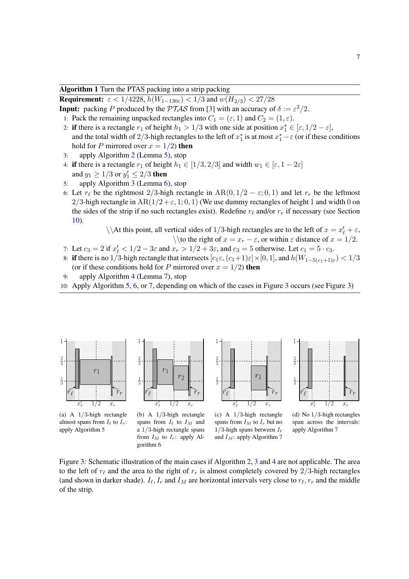**Requirement:**  $\varepsilon < 1/4228$ ,  $h(W_{1-130\varepsilon}) < 1/3$  and  $w(H_{2/3}) < 27/28$ 

**Input:** packing P produced by the  $PTAS$  from [3] with an accuracy of  $\delta := \varepsilon^2/2$ .

- 1: Pack the remaining unpacked rectangles into  $C_1 = (\varepsilon, 1)$  and  $C_2 = (1, \varepsilon)$ .
- 2: if there is a rectangle  $r_1$  of height  $h_1 > 1/3$  with one side at position  $x_1^* \in [\varepsilon, 1/2 \varepsilon]$ , and the total width of 2/3-high rectangles to the left of  $x_1^*$  is at most  $x_1^* - \varepsilon$  (or if these conditions hold for P mirrored over  $x = 1/2$ ) then
- 3: apply Algorithm 2 (Lemma 5), stop
- 4: if there is a rectangle  $r_1$  of height  $h_1 \in [1/3, 2/3]$  and width  $w_1 \in [\varepsilon, 1 2\varepsilon]$ and  $y_1 \ge 1/3$  or  $y'_1 \le 2/3$  then
- 5: apply Algorithm 3 (Lemma 6), stop
- 6: Let  $r_\ell$  be the rightmost 2/3-high rectangle in AR(0,  $1/2 \epsilon$ ; 0, 1) and let  $r_r$  be the leftmost 2/3-high rectangle in  $AR(1/2+\epsilon, 1; 0, 1)$  (We use dummy rectangles of height 1 and width 0 on the sides of the strip if no such rectangles exist). Redefine  $r_{\ell}$  and/or  $r_r$  if necessary (see Section 10).

\\At this point, all vertical sides of 1/3-high rectangles are to the left of  $x = x'_\ell + \varepsilon$ , \\to the right of  $x = x_r - \varepsilon$ , or within  $\varepsilon$  distance of  $x = 1/2$ .

- 7: Let  $c_3 = 2$  if  $x'_\ell < 1/2 3\varepsilon$  and  $x_r > 1/2 + 3\varepsilon$ , and  $c_3 = 5$  otherwise. Let  $c_1 = 5 \cdot c_3$ .
- 8: **if** there is no 1/3-high rectangle that intersects  $[c_1\varepsilon, (c_1+1)\varepsilon] \times [0, 1]$ , and  $h(W_{1-5(c_1+1)\varepsilon}) < 1/3$ (or if these conditions hold for P mirrored over  $x = 1/2$ ) then
- 9: apply Algorithm 4 (Lemma 7), stop
- 10: Apply Algorithm 5, 6, or 7, depending on which of the cases in Figure 3 occurs (see Figure 3)



(a) A 1/3-high rectangle almost spans from  $I_\ell$  to  $I_r$ : apply Algorithm 5

 $\overline{1}$ . 3  $x'_\ell$  $1$  $r_1$  $r_{2}$  $\overline{x}$  $^{2}$  . 3 1/2  $\widehat{r_{\ell}}$  r<sub>r</sub> (b) A 1/3-high rectangle

from  $I_M$  to  $I_r$ : apply Al-

gorithm 6



 $1 \frac{1}{3}$  $x'_{\ell}$  $\frac{y}{\ell}$  1/2  $x_r$  $rac{2}{3}$ .  $\widehat{r_{\ell}}$   $\Gamma_r$ 

spans from  $I_\ell$  to  $I_M$  and a 1/3-high rectangle spans (c) A 1/3-high rectangle spans from  $I_M$  to  $I_r$  but no 1/3-high spans between  $I_{\ell}$ and  $I_M$ : apply Algorithm 7

(d) No 1/3-high rectangles span across the intervals: apply Algorithm 7

Figure 3: Schematic illustration of the main cases if Algorithm 2, 3 and 4 are not applicable. The area to the left of  $r_\ell$  and the area to the right of  $r_r$  is almost completely covered by 2/3-high rectangles (and shown in darker shade).  $I_\ell, I_r$  and  $I_M$  are horizontal intervals very close to  $r_\ell, r_r$  and the middle of the strip.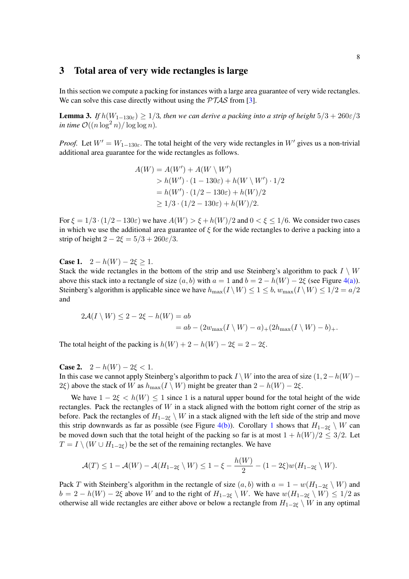#### 3 Total area of very wide rectangles is large

In this section we compute a packing for instances with a large area guarantee of very wide rectangles. We can solve this case directly without using the  $PTAS$  from [3].

**Lemma 3.** *If*  $h(W_{1-130\varepsilon}) \ge 1/3$ *, then we can derive a packing into a strip of height*  $5/3 + 260\varepsilon/3$ *in time*  $\mathcal{O}((n \log^2 n) / \log \log n)$ *.* 

*Proof.* Let  $W' = W_{1-130\varepsilon}$ . The total height of the very wide rectangles in W' gives us a non-trivial additional area guarantee for the wide rectangles as follows.

$$
A(W) = A(W') + A(W \setminus W')
$$
  
> 
$$
h(W') \cdot (1 - 130\varepsilon) + h(W \setminus W') \cdot 1/2
$$
  
= 
$$
h(W') \cdot (1/2 - 130\varepsilon) + h(W)/2
$$
  

$$
\geq 1/3 \cdot (1/2 - 130\varepsilon) + h(W)/2.
$$

For  $\xi = 1/3 \cdot (1/2 - 130\varepsilon)$  we have  $A(W) > \xi + h(W)/2$  and  $0 < \xi \le 1/6$ . We consider two cases in which we use the additional area guarantee of  $\xi$  for the wide rectangles to derive a packing into a strip of height  $2 - 2\xi = 5/3 + 260\varepsilon/3$ .

**Case 1.**  $2 - h(W) - 2\xi \ge 1$ .

Stack the wide rectangles in the bottom of the strip and use Steinberg's algorithm to pack  $I \setminus W$ above this stack into a rectangle of size  $(a, b)$  with  $a = 1$  and  $b = 2 - h(W) - 2\xi$  (see Figure 4(a)). Steinberg's algorithm is applicable since we have  $h_{\text{max}}(I \setminus W) \le 1 \le b$ ,  $w_{\text{max}}(I \setminus W) \le 1/2 = a/2$ and

$$
2\mathcal{A}(I \setminus W) \le 2 - 2\xi - h(W) = ab
$$
  
= ab - (2w<sub>max</sub>(I \setminus W) - a) + (2h<sub>max</sub>(I \setminus W) - b) +

The total height of the packing is  $h(W) + 2 - h(W) - 2\xi = 2 - 2\xi$ .

**Case 2.**  $2 - h(W) - 2\xi < 1$ .

In this case we cannot apply Steinberg's algorithm to pack  $I \setminus W$  into the area of size  $(1, 2-h(W)$ − 2 $\xi$ ) above the stack of W as  $h_{\text{max}}(I \setminus W)$  might be greater than  $2 - h(W) - 2\xi$ .

We have  $1 - 2\xi < h(W) \le 1$  since 1 is a natural upper bound for the total height of the wide rectangles. Pack the rectangles of  $W$  in a stack aligned with the bottom right corner of the strip as before. Pack the rectangles of  $H_{1-2\xi} \setminus W$  in a stack aligned with the left side of the strip and move this strip downwards as far as possible (see Figure 4(b)). Corollary 1 shows that  $H_{1-2\xi} \setminus W$  can be moved down such that the total height of the packing so far is at most  $1 + h(W)/2 \leq 3/2$ . Let  $T = I \setminus (W \cup H_{1-2\xi})$  be the set of the remaining rectangles. We have

$$
\mathcal{A}(T) \leq 1 - \mathcal{A}(W) - \mathcal{A}(H_{1-2\xi} \setminus W) \leq 1 - \xi - \frac{h(W)}{2} - (1 - 2\xi)w(H_{1-2\xi} \setminus W).
$$

Pack T with Steinberg's algorithm in the rectangle of size  $(a, b)$  with  $a = 1 - w(H_{1-2\xi} \setminus W)$  and  $b = 2 - h(W) - 2\xi$  above W and to the right of  $H_{1-2\xi} \setminus W$ . We have  $w(H_{1-2\xi} \setminus W) \leq 1/2$  as otherwise all wide rectangles are either above or below a rectangle from  $H_{1-2\xi} \setminus W$  in any optimal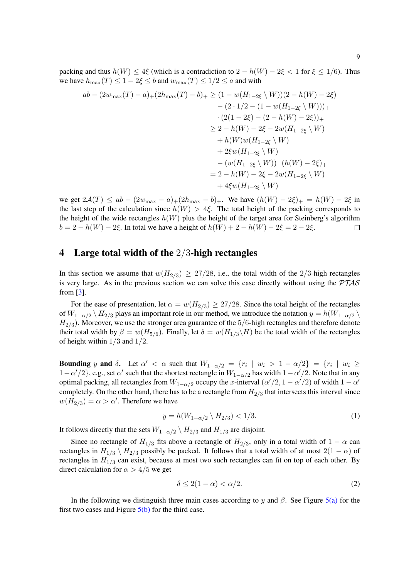packing and thus  $h(W) \leq 4\xi$  (which is a contradiction to  $2 - h(W) - 2\xi < 1$  for  $\xi \leq 1/6$ ). Thus we have  $h_{\text{max}}(T) \leq 1 - 2\xi \leq b$  and  $w_{\text{max}}(T) \leq 1/2 \leq a$  and with

$$
ab - (2w_{\text{max}}(T) - a) + (2h_{\text{max}}(T) - b) + \geq (1 - w(H_{1-2\xi} \setminus W))(2 - h(W) - 2\xi)
$$
  

$$
- (2 \cdot 1/2 - (1 - w(H_{1-2\xi} \setminus W))) +
$$
  

$$
\cdot (2(1 - 2\xi) - (2 - h(W) - 2\xi)) +
$$
  

$$
\geq 2 - h(W) - 2\xi - 2w(H_{1-2\xi} \setminus W)
$$
  

$$
+ h(W)w(H_{1-2\xi} \setminus W)
$$
  

$$
+ 2\xi w(H_{1-2\xi} \setminus W)
$$
  

$$
- (w(H_{1-2\xi} \setminus W)) + (h(W) - 2\xi) +
$$
  

$$
= 2 - h(W) - 2\xi - 2w(H_{1-2\xi} \setminus W)
$$
  

$$
+ 4\xi w(H_{1-2\xi} \setminus W)
$$

we get  $2\mathcal{A}(T) \le ab - (2w_{\text{max}} - a)_{+}(2h_{\text{max}} - b)_{+}$ . We have  $(h(W) - 2\xi)_{+} = h(W) - 2\xi$  in the last step of the calculation since  $h(W) > 4\xi$ . The total height of the packing corresponds to the height of the wide rectangles  $h(W)$  plus the height of the target area for Steinberg's algorithm  $b = 2 - h(W) - 2\xi$ . In total we have a height of  $h(W) + 2 - h(W) - 2\xi = 2 - 2\xi$ .  $\Box$ 

#### 4 Large total width of the 2/3-high rectangles

In this section we assume that  $w(H_{2/3}) \geq 27/28$ , i.e., the total width of the 2/3-high rectangles is very large. As in the previous section we can solve this case directly without using the  $PTAS$ from [3].

For the ease of presentation, let  $\alpha = w(H_{2/3}) \geq 27/28$ . Since the total height of the rectangles of  $W_{1-\alpha/2} \setminus H_{2/3}$  plays an important role in our method, we introduce the notation  $y = h(W_{1-\alpha/2} \setminus H_{2/3})$  $H_{2/3}$ ). Moreover, we use the stronger area guarantee of the  $5/6$ -high rectangles and therefore denote their total width by  $\beta = w(H_{5/6})$ . Finally, let  $\delta = w(H_{1/3}\backslash H)$  be the total width of the rectangles of height within 1/3 and 1/2.

**Bounding** y and  $\delta$ . Let  $\alpha' < \alpha$  such that  $W_{1-\alpha/2} = \{r_i \mid w_i > 1 - \alpha/2\} = \{r_i \mid w_i \ge 1\}$  $1-\alpha'/2$ , e.g., set  $\alpha'$  such that the shortest rectangle in  $W_{1-\alpha/2}$  has width  $1-\alpha'/2$ . Note that in any optimal packing, all rectangles from  $W_{1-\alpha/2}$  occupy the x-interval  $(\alpha'/2, 1-\alpha'/2)$  of width  $1-\alpha'$ completely. On the other hand, there has to be a rectangle from  $H_{2/3}$  that intersects this interval since  $w(H_{2/3}) = \alpha > \alpha'$ . Therefore we have

$$
y = h(W_{1-\alpha/2} \setminus H_{2/3}) < 1/3. \tag{1}
$$

It follows directly that the sets  $W_{1-\alpha/2} \setminus H_{2/3}$  and  $H_{1/3}$  are disjoint.

Since no rectangle of  $H_{1/3}$  fits above a rectangle of  $H_{2/3}$ , only in a total width of  $1 - \alpha$  can rectangles in  $H_{1/3} \setminus H_{2/3}$  possibly be packed. It follows that a total width of at most  $2(1 - \alpha)$  of rectangles in  $H_{1/3}$  can exist, because at most two such rectangles can fit on top of each other. By direct calculation for  $\alpha > 4/5$  we get

$$
\delta \le 2(1-\alpha) < \alpha/2. \tag{2}
$$

In the following we distinguish three main cases according to y and  $\beta$ . See Figure 5(a) for the first two cases and Figure  $5(b)$  for the third case.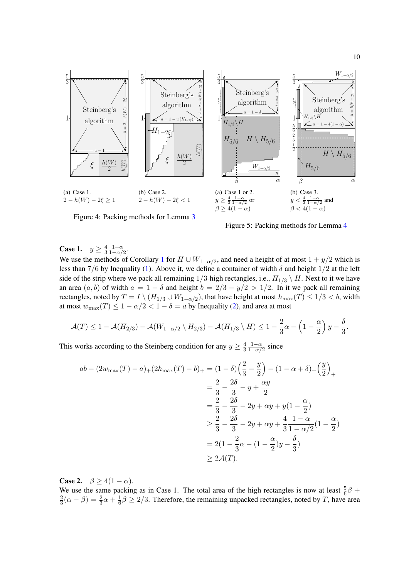

Figure 4: Packing methods for Lemma 3

Figure 5: Packing methods for Lemma 4

**Case 1.**  $y \ge \frac{4}{3}$ 3  $1-\alpha$  $\frac{1-\alpha}{1-\alpha/2}$ .

We use the methods of Corollary 1 for  $H \cup W_{1-\alpha/2}$ , and need a height of at most  $1 + y/2$  which is less than 7/6 by Inequality (1). Above it, we define a container of width  $\delta$  and height 1/2 at the left side of the strip where we pack all remaining 1/3-high rectangles, i.e.,  $H_{1/3} \setminus H$ . Next to it we have an area  $(a, b)$  of width  $a = 1 - \delta$  and height  $b = 2/3 - y/2 > 1/2$ . In it we pack all remaining rectangles, noted by  $T = I \setminus (H_{1/3} \cup W_{1-\alpha/2})$ , that have height at most  $h_{\max}(T) \le 1/3 < b$ , width at most  $w_{\text{max}}(T) \le 1 - \alpha/2 < 1 - \delta = a$  by Inequality (2), and area at most

$$
\mathcal{A}(T) \leq 1 - \mathcal{A}(H_{2/3}) - \mathcal{A}(W_{1-\alpha/2} \setminus H_{2/3}) - \mathcal{A}(H_{1/3} \setminus H) \leq 1 - \frac{2}{3}\alpha - \left(1 - \frac{\alpha}{2}\right)y - \frac{\delta}{3}.
$$

This works according to the Steinberg condition for any  $y \geq \frac{4}{3}$ 3  $1-\alpha$  $\frac{1-\alpha}{1-\alpha/2}$  since

$$
ab - (2w_{\text{max}}(T) - a)_{+}(2h_{\text{max}}(T) - b)_{+} = (1 - \delta)\left(\frac{2}{3} - \frac{y}{2}\right) - (1 - \alpha + \delta)_{+}\left(\frac{y}{2}\right)_{+}
$$
  
\n
$$
= \frac{2}{3} - \frac{2\delta}{3} - y + \frac{\alpha y}{2}
$$
  
\n
$$
= \frac{2}{3} - \frac{2\delta}{3} - 2y + \alpha y + y(1 - \frac{\alpha}{2})
$$
  
\n
$$
\geq \frac{2}{3} - \frac{2\delta}{3} - 2y + \alpha y + \frac{4}{3} \frac{1 - \alpha}{1 - \alpha/2} (1 - \frac{\alpha}{2})
$$
  
\n
$$
= 2(1 - \frac{2}{3}\alpha - (1 - \frac{\alpha}{2})y - \frac{\delta}{3})
$$
  
\n
$$
\geq 2\mathcal{A}(T).
$$

**Case 2.**  $\beta \geq 4(1-\alpha)$ .

We use the same packing as in Case 1. The total area of the high rectangles is now at least  $\frac{5}{6}\beta$  + 2  $\frac{2}{3}(\alpha - \beta) = \frac{2}{3}\alpha + \frac{1}{6}$  $\frac{1}{6}\beta \geq 2/3$ . Therefore, the remaining unpacked rectangles, noted by T, have area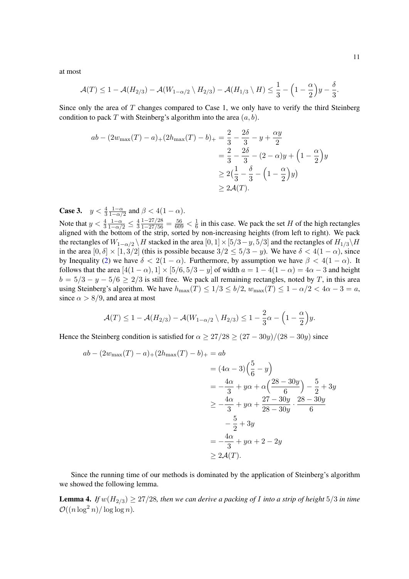at most

$$
\mathcal{A}(T) \leq 1 - \mathcal{A}(H_{2/3}) - \mathcal{A}(W_{1-\alpha/2} \setminus H_{2/3}) - \mathcal{A}(H_{1/3} \setminus H) \leq \frac{1}{3} - \left(1 - \frac{\alpha}{2}\right)y - \frac{\delta}{3}.
$$

Since only the area of  $T$  changes compared to Case 1, we only have to verify the third Steinberg condition to pack T with Steinberg's algorithm into the area  $(a, b)$ .

$$
ab - (2w_{\text{max}}(T) - a)_{+}(2h_{\text{max}}(T) - b)_{+} = \frac{2}{3} - \frac{2\delta}{3} - y + \frac{\alpha y}{2}
$$
  
=  $\frac{2}{3} - \frac{2\delta}{3} - (2 - \alpha)y + (1 - \frac{\alpha}{2})y$   
 $\geq 2(\frac{1}{3} - \frac{\delta}{3} - (1 - \frac{\alpha}{2})y)$   
 $\geq 2\mathcal{A}(T).$ 

**Case 3.**  $y < \frac{4}{3}$  $1-\alpha$  $\frac{1-\alpha}{1-\alpha/2}$  and  $\beta < 4(1-\alpha)$ .

Note that  $y < \frac{4}{3}$  $\frac{1-\alpha}{1-\alpha/2} \leq \frac{4}{3}$ 3  $\frac{1-27/28}{1-27/56} = \frac{56}{609} < \frac{1}{6}$  $\frac{1}{6}$  in this case. We pack the set H of the high rectangles aligned with the bottom of the strip, sorted by non-increasing heights (from left to right). We pack the rectangles of  $W_{1-\alpha/2} \setminus H$  stacked in the area  $[0, 1] \times [5/3 - y, 5/3]$  and the rectangles of  $H_{1/3} \setminus H$ in the area  $[0, \delta] \times [1, 3/2]$  (this is possible because  $3/2 \le 5/3 - y$ ). We have  $\delta < 4(1 - \alpha)$ , since by Inequality (2) we have  $\delta < 2(1 - \alpha)$ . Furthermore, by assumption we have  $\beta < 4(1 - \alpha)$ . It follows that the area  $[4(1-\alpha), 1] \times [5/6, 5/3 - y]$  of width  $a = 1 - 4(1 - \alpha) = 4\alpha - 3$  and height  $b = 5/3 - y - 5/6 \ge 2/3$  is still free. We pack all remaining rectangles, noted by T, in this area using Steinberg's algorithm. We have  $h_{\text{max}}(T) \leq 1/3 \leq b/2$ ,  $w_{\text{max}}(T) \leq 1 - \alpha/2 < 4\alpha - 3 = a$ , since  $\alpha > 8/9$ , and area at most

$$
\mathcal{A}(T) \leq 1 - \mathcal{A}(H_{2/3}) - \mathcal{A}(W_{1-\alpha/2} \setminus H_{2/3}) \leq 1 - \frac{2}{3}\alpha - \left(1 - \frac{\alpha}{2}\right)y.
$$

Hence the Steinberg condition is satisfied for  $\alpha > 27/28 > (27 - 30y)/(28 - 30y)$  since

$$
ab - (2w_{\text{max}}(T) - a) + (2h_{\text{max}}(T) - b) + = ab
$$
  
=  $(4\alpha - 3)\left(\frac{5}{6} - y\right)$   
=  $-\frac{4\alpha}{3} + y\alpha + \alpha\left(\frac{28 - 30y}{6}\right) - \frac{5}{2} + 3y$   
 $\ge -\frac{4\alpha}{3} + y\alpha + \frac{27 - 30y}{28 - 30y} \cdot \frac{28 - 30y}{6}$   
 $-\frac{5}{2} + 3y$   
=  $-\frac{4\alpha}{3} + y\alpha + 2 - 2y$   
 $\ge 2\mathcal{A}(T).$ 

Since the running time of our methods is dominated by the application of Steinberg's algorithm we showed the following lemma.

**Lemma 4.** If  $w(H_{2/3}) \geq 27/28$ , then we can derive a packing of I into a strip of height  $5/3$  in time  $\mathcal{O}((n \log^2 n) / \log \log n)$ .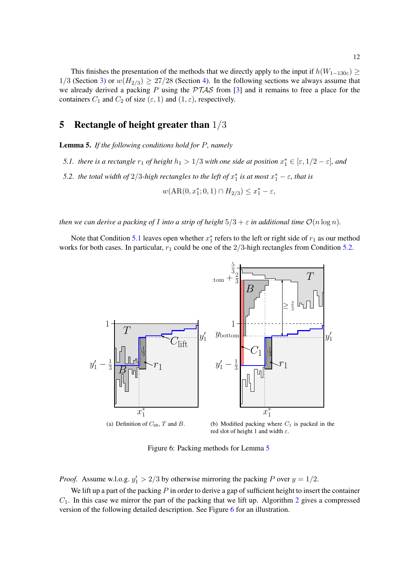This finishes the presentation of the methods that we directly apply to the input if  $h(W_{1-130\varepsilon}) \geq$ 1/3 (Section 3) or  $w(H_{2/3}) \ge 27/28$  (Section 4). In the following sections we always assume that we already derived a packing P using the  $PTAS$  from [3] and it remains to free a place for the containers  $C_1$  and  $C_2$  of size  $(\varepsilon, 1)$  and  $(1, \varepsilon)$ , respectively.

#### 5 Rectangle of height greater than 1/3

Lemma 5. *If the following conditions hold for* P*, namely*

- *5.1. there is a rectangle*  $r_1$  *of height*  $h_1 > 1/3$  *with one side at position*  $x_1^* \in [\epsilon, 1/2 \epsilon]$ *, and*
- 5.2. *the total width of*  $2/3$ -high rectangles to the left of  $x_1^*$  is at most  $x_1^* \varepsilon$ , that is

$$
w(\text{AR}(0,x_1^*;0,1) \cap H_{2/3}) \le x_1^* - \varepsilon,
$$

*then we can derive a packing of I into a strip of height*  $5/3 + \varepsilon$  *in additional time*  $\mathcal{O}(n \log n)$ *.* 

Note that Condition 5.1 leaves open whether  $x_1^*$  refers to the left or right side of  $r_1$  as our method works for both cases. In particular,  $r_1$  could be one of the  $2/3$ -high rectangles from Condition 5.2.



Figure 6: Packing methods for Lemma 5

*Proof.* Assume w.l.o.g.  $y'_1 > 2/3$  by otherwise mirroring the packing P over  $y = 1/2$ .

We lift up a part of the packing  $P$  in order to derive a gap of sufficient height to insert the container  $C_1$ . In this case we mirror the part of the packing that we lift up. Algorithm 2 gives a compressed version of the following detailed description. See Figure 6 for an illustration.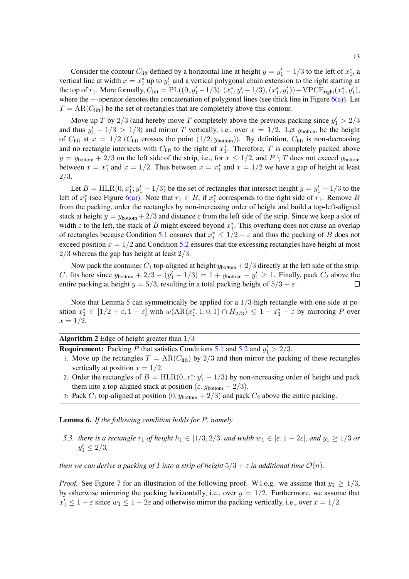Consider the contour  $C_{\text{lift}}$  defined by a horizontal line at height  $y = y'_1 - 1/3$  to the left of  $x_1^*$ , a vertical line at width  $x = x_1^*$  up to  $y_1'$  and a vertical polygonal chain extension to the right starting at the top of  $r_1$ . More formally,  $C_{\text{lift}} = PL((0, y_1' - 1/3), (x_1^*, y_1' - 1/3), (x_1^*, y_1')) + VPCE_{\text{right}}(x_1^*, y_1'),$ where the  $+$ -operator denotes the concatenation of polygonal lines (see thick line in Figure  $6(a)$ ). Let  $T = AR(C<sub>lift</sub>)$  be the set of rectangles that are completely above this contour.

Move up T by 2/3 (and hereby move T completely above the previous packing since  $y'_1 > 2/3$ and thus  $y'_1 - 1/3 > 1/3$  and mirror T vertically, i.e., over  $x = 1/2$ . Let  $y_{bottom}$  be the height of  $C_{\text{lift}}$  at  $x = 1/2$  ( $C_{\text{lift}}$  crosses the point  $(1/2, y_{\text{bottom}})$ ). By definition,  $C_{\text{lift}}$  is non-decreasing and no rectangle intersects with  $C<sub>lift</sub>$  to the right of  $x_1^*$ . Therefore, T is completely packed above  $y = y_{\text{bottom}} + 2/3$  on the left side of the strip, i.e., for  $x \le 1/2$ , and  $P \setminus T$  does not exceed  $y_{\text{bottom}}$ between  $x = x_1^*$  and  $x = 1/2$ . Thus between  $x = x_1^*$  and  $x = 1/2$  we have a gap of height at least 2/3.

Let  $B = \text{HLR}(0, x_1^*; y_1' - 1/3)$  be the set of rectangles that intersect height  $y = y_1' - 1/3$  to the left of  $x_1^*$  (see Figure 6(a)). Note that  $r_1 \in B$ , if  $x_1^*$  corresponds to the right side of  $r_1$ . Remove B from the packing, order the rectangles by non-increasing order of height and build a top-left-aligned stack at height  $y = y_{\text{bottom}} + 2/3$  and distance  $\varepsilon$  from the left side of the strip. Since we keep a slot of width  $\varepsilon$  to the left, the stack of B might exceed beyond  $x_1^*$ . This overhang does not cause an overlap of rectangles because Condition 5.1 ensures that  $x_1^* \leq 1/2 - \varepsilon$  and thus the packing of B does not exceed position  $x = 1/2$  and Condition 5.2 ensures that the excessing rectangles have height at most 2/3 whereas the gap has height at least 2/3.

Now pack the container  $C_1$  top-aligned at height  $y_{\text{bottom}} + 2/3$  directly at the left side of the strip.  $C_1$  fits here since  $y_{\text{bottom}} + 2/3 - (y_1' - 1/3) = 1 + y_{\text{bottom}} - y_1' \ge 1$ . Finally, pack  $C_2$  above the entire packing at height  $y = 5/3$ , resulting in a total packing height of  $5/3 + \varepsilon$ .

Note that Lemma 5 can symmetrically be applied for a  $1/3$ -high rectangle with one side at position  $x_1^* \in [1/2 + \varepsilon, 1 - \varepsilon]$  with  $w(\text{AR}(x_1^*, 1; 0, 1) \cap H_{2/3}) \le 1 - x_1^* - \varepsilon$  by mirroring P over  $x = 1/2.$ 

Algorithm 2 Edge of height greater than 1/3

**Requirement:** Packing P that satisfies Conditions 5.1 and 5.2 and  $y'_1 > 2/3$ .

- 1: Move up the rectangles  $T = AR(C_{lift})$  by 2/3 and then mirror the packing of these rectangles vertically at position  $x = 1/2$ .
- 2: Order the rectangles of  $B = \text{HLR}(0, x_1^*; y_1' 1/3)$  by non-increasing order of height and pack them into a top-aligned stack at position  $(\varepsilon, y_{bottom} + 2/3)$ .
- 3: Pack  $C_1$  top-aligned at position  $(0, y_{bottom} + 2/3)$  and pack  $C_2$  above the entire packing.

Lemma 6. *If the following condition holds for* P*, namely*

*5.3. there is a rectangle*  $r_1$  *of height*  $h_1 \in [1/3, 2/3]$  *and width*  $w_1 \in [\varepsilon, 1 - 2\varepsilon]$ *, and*  $y_1 \ge 1/3$  *or*  $y'_1 \leq 2/3$ ,

*then we can derive a packing of* I *into a strip of height*  $5/3 + \varepsilon$  *in additional time*  $\mathcal{O}(n)$ *.* 

*Proof.* See Figure 7 for an illustration of the following proof. W.l.o.g. we assume that  $y_1 \geq 1/3$ , by otherwise mirroring the packing horizontally, i.e., over  $y = 1/2$ . Furthermore, we assume that  $x'_1 \leq 1 - \varepsilon$  since  $w_1 \leq 1 - 2\varepsilon$  and otherwise mirror the packing vertically, i.e., over  $x = 1/2$ .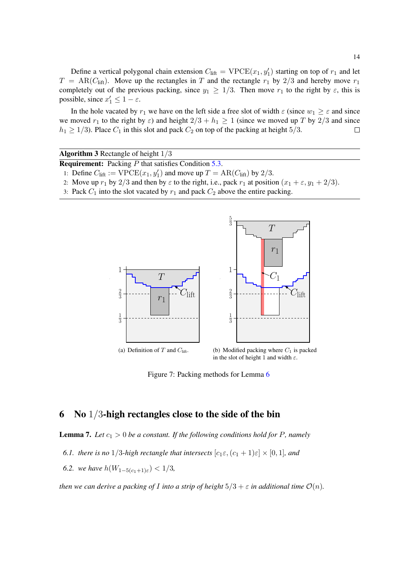Define a vertical polygonal chain extension  $C_{lift} = \text{VPCE}(x_1, y_1')$  starting on top of  $r_1$  and let  $T = AR(C<sub>lift</sub>)$ . Move up the rectangles in T and the rectangle  $r_1$  by 2/3 and hereby move  $r_1$ completely out of the previous packing, since  $y_1 \geq 1/3$ . Then move  $r_1$  to the right by  $\varepsilon$ , this is possible, since  $x'_1 \leq 1 - \varepsilon$ .

In the hole vacated by  $r_1$  we have on the left side a free slot of width  $\varepsilon$  (since  $w_1 \geq \varepsilon$  and since we moved  $r_1$  to the right by  $\varepsilon$ ) and height  $2/3 + h_1 \ge 1$  (since we moved up T by  $2/3$  and since  $h_1 > 1/3$ ). Place  $C_1$  in this slot and pack  $C_2$  on top of the packing at height 5/3.  $h_1 \geq 1/3$ ). Place  $C_1$  in this slot and pack  $C_2$  on top of the packing at height  $5/3$ .

| <b>Algorithm 3</b> Rectangle of height $1/3$                                                                                    |            |
|---------------------------------------------------------------------------------------------------------------------------------|------------|
| <b>Requirement:</b> Packing $P$ that satisfies Condition 5.3.                                                                   |            |
| 1: Define $C_{\text{lift}} := \text{VPCE}(x_1, y_1')$ and move up $T = \text{AR}(C_{\text{lift}})$ by 2/3.                      |            |
| 2. Move up $r_1$ by 2/3 and then by $\varepsilon$ to the right, i.e., pack $r_1$ at position $(x_1 + \varepsilon, y_1 + 2/3)$ . |            |
| 3: Pack $C_1$ into the slot vacated by $r_1$ and pack $C_2$ above the entire packing.                                           |            |
|                                                                                                                                 |            |
|                                                                                                                                 |            |
|                                                                                                                                 | $\sqrt{ }$ |



Figure 7: Packing methods for Lemma 6

#### 6 No  $1/3$ -high rectangles close to the side of the bin

**Lemma 7.** Let  $c_1 > 0$  be a constant. If the following conditions hold for P, namely

- *6.1. there is no*  $1/3$ *-high rectangle that intersects*  $[c_1 \varepsilon, (c_1 + 1)\varepsilon] \times [0, 1]$ *, and*
- *6.2. we have*  $h(W_{1-5(c_1+1)\varepsilon}) < 1/3$ ,

*then we can derive a packing of* I *into a strip of height*  $5/3 + \varepsilon$  *in additional time*  $\mathcal{O}(n)$ *.*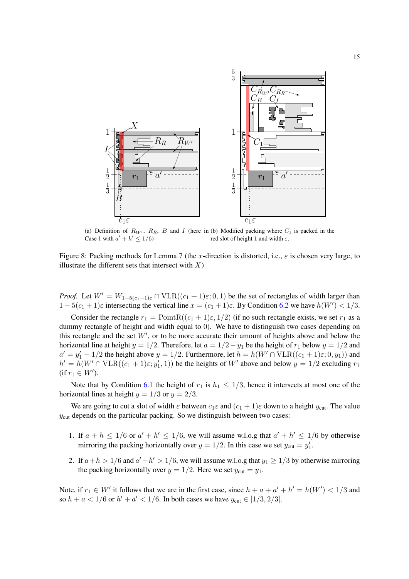

(a) Definition of  $R_{W'}$ ,  $R_R$ ,  $B$  and  $I$  (here in (b) Modified packing where  $C_1$  is packed in the Case 1 with  $a' + h' \leq 1/6$ red slot of height 1 and width  $\varepsilon$ .

Figure 8: Packing methods for Lemma 7 (the x-direction is distorted, i.e.,  $\varepsilon$  is chosen very large, to illustrate the different sets that intersect with  $X$ )

*Proof.* Let  $W' = W_{1-5(c_1+1)\epsilon} \cap \text{VLR}((c_1+1)\epsilon; 0, 1)$  be the set of rectangles of width larger than  $1 - 5(c_1 + 1)\varepsilon$  intersecting the vertical line  $x = (c_1 + 1)\varepsilon$ . By Condition 6.2 we have  $h(W') < 1/3$ .

Consider the rectangle  $r_1 = \text{PointR}((c_1 + 1)\varepsilon, 1/2)$  (if no such rectangle exists, we set  $r_1$  as a dummy rectangle of height and width equal to 0). We have to distinguish two cases depending on this rectangle and the set  $W'$ , or to be more accurate their amount of heights above and below the horizontal line at height  $y = 1/2$ . Therefore, let  $a = 1/2 - y_1$  be the height of  $r_1$  below  $y = 1/2$  and  $a' = y'_1 - 1/2$  the height above  $y = 1/2$ . Furthermore, let  $h = h(W' \cap \text{VLR}((c_1 + 1)\varepsilon; 0, y_1))$  and  $h' = h(W' \cap \text{VLR}((c_1 + 1)\varepsilon; y'_1, 1))$  be the heights of W' above and below  $y = 1/2$  excluding  $r_1$  $(\text{if } r_1 \in W').$ 

Note that by Condition 6.1 the height of  $r_1$  is  $h_1 \leq 1/3$ , hence it intersects at most one of the horizontal lines at height  $y = 1/3$  or  $y = 2/3$ .

We are going to cut a slot of width  $\varepsilon$  between  $c_1 \varepsilon$  and  $(c_1 + 1)\varepsilon$  down to a height  $y_{\text{cut}}$ . The value  $y_{\text{cut}}$  depends on the particular packing. So we distinguish between two cases:

- 1. If  $a + h \leq 1/6$  or  $a' + h' \leq 1/6$ , we will assume w.l.o.g that  $a' + h' \leq 1/6$  by otherwise mirroring the packing horizontally over  $y = 1/2$ . In this case we set  $y_{\text{cut}} = y'_1$ .
- 2. If  $a + h > 1/6$  and  $a' + h' > 1/6$ , we will assume w.l.o.g that  $y_1 \ge 1/3$  by otherwise mirroring the packing horizontally over  $y = 1/2$ . Here we set  $y_{\text{cut}} = y_1$ .

Note, if  $r_1 \in W'$  it follows that we are in the first case, since  $h + a + a' + h' = h(W') < 1/3$  and so  $h + a < 1/6$  or  $h' + a' < 1/6$ . In both cases we have  $y_{\text{cut}} \in [1/3, 2/3]$ .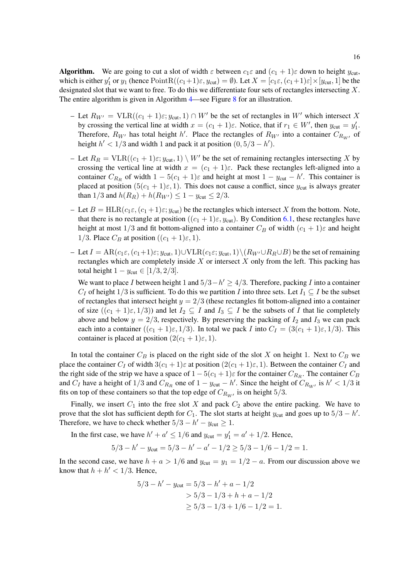**Algorithm.** We are going to cut a slot of width  $\varepsilon$  between  $c_1 \varepsilon$  and  $(c_1 + 1)\varepsilon$  down to height  $y_{\text{cut}}$ , which is either  $y'_1$  or  $y_1$  (hence  $\text{PointR}((c_1+1)\varepsilon, y_{\text{cut}}) = \emptyset$ ). Let  $X = [c_1\varepsilon, (c_1+1)\varepsilon] \times [y_{\text{cut}}, 1]$  be the designated slot that we want to free. To do this we differentiate four sets of rectangles intersecting  $X$ . The entire algorithm is given in Algorithm 4—see Figure 8 for an illustration.

- Let  $R_{W'} = \text{VLR}((c_1 + 1)\varepsilon; y_{\text{cut}}, 1) \cap W'$  be the set of rectangles in W' which intersect X by crossing the vertical line at width  $x = (c_1 + 1)\varepsilon$ . Notice, that if  $r_1 \in W'$ , then  $y_{\text{cut}} = y'_1$ . Therefore,  $R_{W'}$  has total height h'. Place the rectangles of  $R_{W'}$  into a container  $C_{R_{W'}}$  of height  $h' < 1/3$  and width 1 and pack it at position  $(0, 5/3 - h')$ .
- Let  $R_R = \text{VLR}((c_1 + 1)\varepsilon; y_{\text{cut}}, 1) \setminus W'$  be the set of remaining rectangles intersecting X by crossing the vertical line at width  $x = (c_1 + 1)\varepsilon$ . Pack these rectangles left-aligned into a container  $C_{R_R}$  of width  $1 - 5(c_1 + 1)\varepsilon$  and height at most  $1 - y_{\text{cut}} - h'$ . This container is placed at position  $(5(c_1 + 1)\varepsilon, 1)$ . This does not cause a conflict, since  $y_{\text{cut}}$  is always greater than  $1/3$  and  $h(R_R) + h(R_{W'}) \leq 1 - y_{\text{cut}} \leq 2/3$ .
- Let  $B = \text{HLR}(c_1\varepsilon, (c_1 + 1)\varepsilon; y_{\text{cut}})$  be the rectangles which intersect X from the bottom. Note, that there is no rectangle at position  $((c_1 + 1)\varepsilon, y_{\text{cut}})$ . By Condition 6.1, these rectangles have height at most 1/3 and fit bottom-aligned into a container  $C_B$  of width  $(c_1 + 1)\varepsilon$  and height 1/3. Place  $C_B$  at position  $((c_1 + 1)\varepsilon, 1)$ .
- Let  $I = AR(c_1\varepsilon, (c_1+1)\varepsilon; y_{\text{cut}}, 1) \cup \text{VR}(c_1\varepsilon; y_{\text{cut}}, 1) \setminus (R_{W'} \cup R_R \cup B)$  be the set of remaining rectangles which are completely inside  $X$  or intersect  $X$  only from the left. This packing has total height  $1 - y_{\text{cut}}$  ∈ [1/3, 2/3].

We want to place I between height 1 and  $5/3-h' \geq 4/3$ . Therefore, packing I into a container  $C_I$  of height  $1/3$  is sufficient. To do this we partition I into three sets. Let  $I_1 \subseteq I$  be the subset of rectangles that intersect height  $y = 2/3$  (these rectangles fit bottom-aligned into a container of size  $((c_1 + 1)\varepsilon, 1/3)$  and let  $I_2 \subseteq I$  and  $I_3 \subseteq I$  be the subsets of I that lie completely above and below  $y = 2/3$ , respectively. By preserving the packing of  $I_2$  and  $I_3$  we can pack each into a container  $((c_1 + 1)\varepsilon, 1/3)$ . In total we pack I into  $C_I = (3(c_1 + 1)\varepsilon, 1/3)$ . This container is placed at position  $(2(c_1 + 1)\varepsilon, 1)$ .

In total the container  $C_B$  is placed on the right side of the slot X on height 1. Next to  $C_B$  we place the container  $C_I$  of width  $3(c_1 + 1)\varepsilon$  at position  $(2(c_1 + 1)\varepsilon, 1)$ . Between the container  $C_I$  and the right side of the strip we have a space of  $1 - 5(c_1 + 1)\varepsilon$  for the container  $C_{R_R}$ . The container  $C_B$ and  $C_I$  have a height of  $1/3$  and  $C_{R_R}$  one of  $1 - y_{\text{cut}} - h'$ . Since the height of  $C_{R_{W'}}$  is  $h' < 1/3$  it fits on top of these containers so that the top edge of  $C_{R_{W'}}$  is on height 5/3.

Finally, we insert  $C_1$  into the free slot X and pack  $C_2$  above the entire packing. We have to prove that the slot has sufficient depth for  $C_1$ . The slot starts at height  $y_{\text{cut}}$  and goes up to  $5/3 - h'$ . Therefore, we have to check whether  $5/3 - h' - y_{\text{cut}} \ge 1$ .

In the first case, we have  $h' + a' \leq 1/6$  and  $y_{\text{cut}} = y'_1 = a' + 1/2$ . Hence,

$$
5/3 - h' - y_{\text{cut}} = 5/3 - h' - a' - 1/2 \ge 5/3 - 1/6 - 1/2 = 1.
$$

In the second case, we have  $h + a > 1/6$  and  $y_{\text{cut}} = y_1 = 1/2 - a$ . From our discussion above we know that  $h + h' < 1/3$ . Hence,

$$
5/3 - h' - y_{\text{cut}} = 5/3 - h' + a - 1/2
$$
  
> 5/3 - 1/3 + h + a - 1/2  
> 5/3 - 1/3 + 1/6 - 1/2 = 1.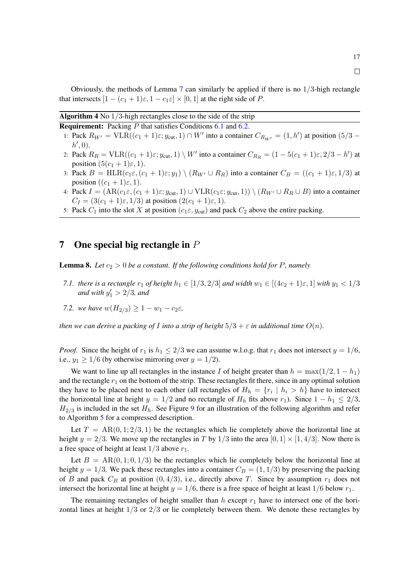Obviously, the methods of Lemma 7 can similarly be applied if there is no  $1/3$ -high rectangle that intersects  $[1 - (c_1 + 1)\varepsilon, 1 - c_1\varepsilon] \times [0, 1]$  at the right side of P.

| <b>Algorithm 4</b> No $1/3$ -high rectangles close to the side of the strip |  |  |  |  |  |  |  |
|-----------------------------------------------------------------------------|--|--|--|--|--|--|--|
|-----------------------------------------------------------------------------|--|--|--|--|--|--|--|

Requirement: Packing P that satisfies Conditions 6.1 and 6.2.

- 1: Pack  $R_{W'} = \text{VLR}((c_1 + 1)\varepsilon; y_{\text{cut}}, 1) \cap W'$  into a container  $C_{R_{W'}} = (1, h')$  at position  $(5/3$  $h'(0)$ .
- 2: Pack  $R_R = \text{VLR}((c_1 + 1)\varepsilon; y_{\text{cut}}, 1) \setminus W'$  into a container  $C_{R_R} = (1 5(c_1 + 1)\varepsilon, 2/3 h')$  at position  $(5(c_1 + 1)\varepsilon, 1)$ .
- 3: Pack  $B = \text{HLR}(c_1\varepsilon, (c_1 + 1)\varepsilon; y_1) \setminus (R_{W'} \cup R_R)$  into a container  $C_B = ((c_1 + 1)\varepsilon, 1/3)$  at position  $((c_1 + 1)\varepsilon, 1)$ .
- 4: Pack  $I = (AR(c_1\varepsilon, (c_1 + 1)\varepsilon; y_{\text{cut}}, 1) \cup \text{VLR}(c_1\varepsilon; y_{\text{cut}}, 1)) \setminus (R_{W'} \cup R_R \cup B)$  into a container  $C_I = (3(c_1 + 1)\varepsilon, 1/3)$  at position  $(2(c_1 + 1)\varepsilon, 1)$ .
- 5: Pack  $C_1$  into the slot X at position  $(c_1 \varepsilon, y_{\text{cut}})$  and pack  $C_2$  above the entire packing.

#### 7 One special big rectangle in  $P$

**Lemma 8.** Let  $c_2 > 0$  be a constant. If the following conditions hold for P, namely

- *7.1. there is a rectangle*  $r_1$  *of height*  $h_1 \in [1/3, 2/3]$  *and width*  $w_1 \in [(4c_2 + 1)\varepsilon, 1]$  *with*  $y_1 < 1/3$ and with  $y'_1 > 2/3$ , and
- *7.2. we have*  $w(H_{2/3}) \geq 1 w_1 c_2 \varepsilon$ ,

*then we can derive a packing of* I *into a strip of height*  $5/3 + \varepsilon$  *in additional time*  $O(n)$ *.* 

*Proof.* Since the height of  $r_1$  is  $h_1 \le 2/3$  we can assume w.l.o.g. that  $r_1$  does not intersect  $y = 1/6$ , i.e.,  $y_1 \geq 1/6$  (by otherwise mirroring over  $y = 1/2$ ).

We want to line up all rectangles in the instance I of height greater than  $h = \max(1/2, 1 - h_1)$ and the rectangle  $r_1$  on the bottom of the strip. These rectangles fit there, since in any optimal solution they have to be placed next to each other (all rectangles of  $H_h = \{r_i \mid h_i > h\}$  have to intersect the horizontal line at height  $y = 1/2$  and no rectangle of  $H_h$  fits above  $r_1$ ). Since  $1 - h_1 \leq 2/3$ ,  $H_{2/3}$  is included in the set  $H_h$ . See Figure 9 for an illustration of the following algorithm and refer to Algorithm 5 for a compressed description.

Let  $T = AR(0, 1; 2/3, 1)$  be the rectangles which lie completely above the horizontal line at height  $y = 2/3$ . We move up the rectangles in T by  $1/3$  into the area  $[0, 1] \times [1, 4/3]$ . Now there is a free space of height at least  $1/3$  above  $r_1$ .

Let  $B = AR(0, 1, 0, 1/3)$  be the rectangles which lie completely below the horizontal line at height  $y = 1/3$ . We pack these rectangles into a container  $C_B = (1, 1/3)$  by preserving the packing of B and pack  $C_B$  at position  $(0, 4/3)$ , i.e., directly above T. Since by assumption  $r_1$  does not intersect the horizontal line at height  $y = 1/6$ , there is a free space of height at least  $1/6$  below  $r_1$ .

The remaining rectangles of height smaller than h except  $r_1$  have to intersect one of the horizontal lines at height 1/3 or 2/3 or lie completely between them. We denote these rectangles by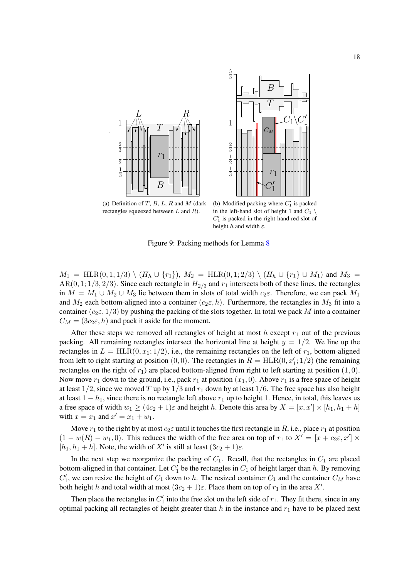

(a) Definition of  $T$ ,  $B$ ,  $L$ ,  $R$  and  $M$  (dark rectangles squeezed between  $L$  and  $R$ ).

(b) Modified packing where  $C'_1$  is packed in the left-hand slot of height 1 and  $C_1 \setminus$  $C_1'$  is packed in the right-hand red slot of height h and width  $\varepsilon$ .

 $C_M$ 

 $r_1$ 

 $C_1'$  $\frac{7}{1}$ 1  $C_1\backslash C_1'$  $\frac{7}{1}$ 1

 $\, T \,$ 

 $B^{\perp}$ 

Figure 9: Packing methods for Lemma 8

1

5 3

 $M_1 = \text{HLR}(0, 1; 1/3) \setminus (H_h \cup \{r_1\}), M_2 = \text{HLR}(0, 1; 2/3) \setminus (H_h \cup \{r_1\} \cup M_1)$  and  $M_3 =$  $AR(0, 1; 1/3, 2/3)$ . Since each rectangle in  $H_{2/3}$  and  $r_1$  intersects both of these lines, the rectangles in  $M = M_1 \cup M_2 \cup M_3$  lie between them in slots of total width  $c_2 \varepsilon$ . Therefore, we can pack  $M_1$ and  $M_2$  each bottom-aligned into a container  $(c_2 \varepsilon, h)$ . Furthermore, the rectangles in  $M_3$  fit into a container  $(c_2 \varepsilon, 1/3)$  by pushing the packing of the slots together. In total we pack M into a container  $C_M = (3c_2\varepsilon, h)$  and pack it aside for the moment.

After these steps we removed all rectangles of height at most h except  $r_1$  out of the previous packing. All remaining rectangles intersect the horizontal line at height  $y = 1/2$ . We line up the rectangles in  $L = \text{HLR}(0, x_1; 1/2)$ , i.e., the remaining rectangles on the left of  $r_1$ , bottom-aligned from left to right starting at position  $(0,0)$ . The rectangles in  $R = \text{HLR}(0, x_1'; 1/2)$  (the remaining rectangles on the right of  $r_1$ ) are placed bottom-aligned from right to left starting at position  $(1, 0)$ . Now move  $r_1$  down to the ground, i.e., pack  $r_1$  at position  $(x_1, 0)$ . Above  $r_1$  is a free space of height at least  $1/2$ , since we moved T up by  $1/3$  and  $r_1$  down by at least  $1/6$ . The free space has also height at least  $1 - h_1$ , since there is no rectangle left above  $r_1$  up to height 1. Hence, in total, this leaves us a free space of width  $w_1 \geq (4c_2 + 1)\varepsilon$  and height h. Denote this area by  $X = [x, x'] \times [h_1, h_1 + h]$ with  $x = x_1$  and  $x' = x_1 + w_1$ .

Move  $r_1$  to the right by at most  $c_2 \varepsilon$  until it touches the first rectangle in R, i.e., place  $r_1$  at position  $(1 - w(R) - w_1, 0)$ . This reduces the width of the free area on top of  $r_1$  to  $X' = [x + c_2 \varepsilon, x'] \times$  $[h_1, h_1 + h]$ . Note, the width of X' is still at least  $(3c_2 + 1)\varepsilon$ .

In the next step we reorganize the packing of  $C_1$ . Recall, that the rectangles in  $C_1$  are placed bottom-aligned in that container. Let  $C'_1$  be the rectangles in  $C_1$  of height larger than h. By removing  $C'_1$ , we can resize the height of  $C_1$  down to h. The resized container  $C_1$  and the container  $C_M$  have both height h and total width at most  $(3c_2 + 1)\varepsilon$ . Place them on top of  $r_1$  in the area X'.

Then place the rectangles in  $C'_1$  into the free slot on the left side of  $r_1$ . They fit there, since in any optimal packing all rectangles of height greater than  $h$  in the instance and  $r_1$  have to be placed next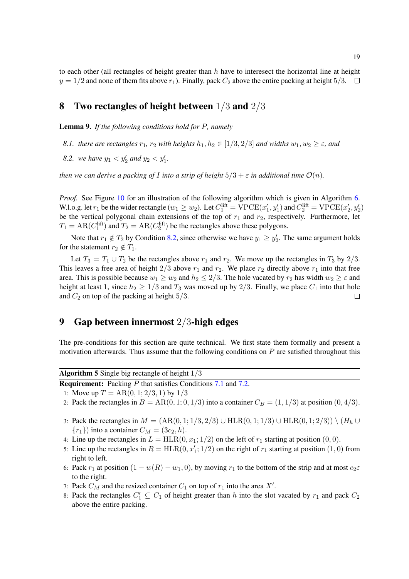to each other (all rectangles of height greater than  $h$  have to interesect the horizontal line at height  $y = 1/2$  and none of them fits above  $r_1$ ). Finally, pack  $C_2$  above the entire packing at height  $5/3$ .

#### 8 Two rectangles of height between  $1/3$  and  $2/3$

Lemma 9. *If the following conditions hold for* P*, namely*

- *8.1. there are rectangles*  $r_1$ ,  $r_2$  *with heights*  $h_1, h_2 \in [1/3, 2/3]$  *and widths*  $w_1, w_2 \geq \varepsilon$ *, and*
- 8.2. *we have*  $y_1 < y_2'$  *and*  $y_2 < y_1'$ *.*

*then we can derive a packing of I into a strip of height*  $5/3 + \varepsilon$  *in additional time*  $\mathcal{O}(n)$ *.* 

*Proof.* See Figure 10 for an illustration of the following algorithm which is given in Algorithm 6. W.l.o.g. let  $r_1$  be the wider rectangle ( $w_1 \ge w_2$ ). Let  $C_1^{\text{lift}} = \text{VPCE}(x'_1, y'_1)$  and  $C_2^{\text{lift}} = \text{VPCE}(x'_2, y'_2)$ be the vertical polygonal chain extensions of the top of  $r_1$  and  $r_2$ , respectively. Furthermore, let  $T_1 = AR(C_1^{\text{lift}})$  and  $T_2 = AR(C_2^{\text{lift}})$  be the rectangles above these polygons.

Note that  $r_1 \notin T_2$  by Condition 8.2, since otherwise we have  $y_1 \ge y_2'$ . The same argument holds for the statement  $r_2 \notin T_1$ .

Let  $T_3 = T_1 \cup T_2$  be the rectangles above  $r_1$  and  $r_2$ . We move up the rectangles in  $T_3$  by 2/3. This leaves a free area of height  $2/3$  above  $r_1$  and  $r_2$ . We place  $r_2$  directly above  $r_1$  into that free area. This is possible because  $w_1 \geq w_2$  and  $h_2 \leq 2/3$ . The hole vacated by  $r_2$  has width  $w_2 \geq \varepsilon$  and height at least 1, since  $h_2 \ge 1/3$  and  $T_3$  was moved up by 2/3. Finally, we place  $C_1$  into that hole and  $C_2$  on top of the packing at height  $5/3$ . and  $C_2$  on top of the packing at height  $5/3$ .

#### 9 Gap between innermost 2/3-high edges

The pre-conditions for this section are quite technical. We first state them formally and present a motivation afterwards. Thus assume that the following conditions on  $P$  are satisfied throughout this

| Algorithm 5 Single big rectangle of height $1/3$ |  |  |  |  |  |  |  |
|--------------------------------------------------|--|--|--|--|--|--|--|
|--------------------------------------------------|--|--|--|--|--|--|--|

Requirement: Packing P that satisfies Conditions 7.1 and 7.2.

- 1: Move up  $T = AR(0, 1; 2/3, 1)$  by  $1/3$
- 2: Pack the rectangles in  $B = AR(0, 1; 0, 1/3)$  into a container  $C_B = (1, 1/3)$  at position  $(0, 4/3)$ .
- 3: Pack the rectangles in  $M = (AR(0, 1; 1/3, 2/3) \cup HLR(0, 1; 1/3) \cup HLR(0, 1; 2/3)) \setminus (H_h \cup$  ${r_1}$ ) into a container  $C_M = (3c_2, h)$ .
- 4: Line up the rectangles in  $L = HLR(0, x_1; 1/2)$  on the left of  $r_1$  starting at position  $(0, 0)$ .
- 5: Line up the rectangles in  $R = \text{HLR}(0, x_1; 1/2)$  on the right of  $r_1$  starting at position  $(1, 0)$  from right to left.
- 6: Pack  $r_1$  at position  $(1 w(R) w_1, 0)$ , by moving  $r_1$  to the bottom of the strip and at most  $c_2 \varepsilon$ to the right.
- 7: Pack  $C_M$  and the resized container  $C_1$  on top of  $r_1$  into the area  $X'$ .
- 8: Pack the rectangles  $C'_1 \subseteq C_1$  of height greater than h into the slot vacated by  $r_1$  and pack  $C_2$ above the entire packing.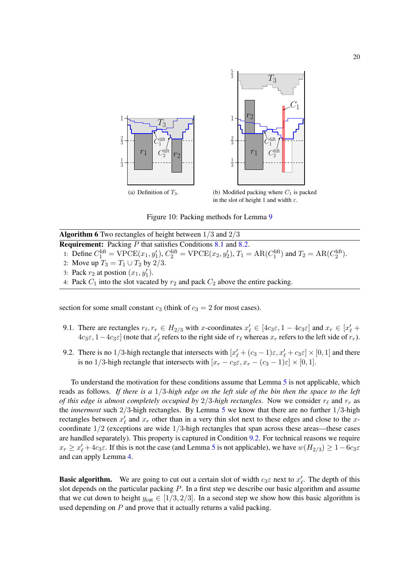

(b) Modified packing where  $C_1$  is packed in the slot of height 1 and width  $\varepsilon$ .

Figure 10: Packing methods for Lemma 9

Algorithm 6 Two rectangles of height between 1/3 and 2/3 Requirement: Packing P that satisfies Conditions 8.1 and 8.2.

1: Define  $C_1^{\text{lift}} = \text{VPCE}(x_1, y_1'), C_2^{\text{lift}} = \text{VPCE}(x_2, y_2'), T_1 = \text{AR}(C_1^{\text{lift}})$  and  $T_2 = \text{AR}(C_2^{\text{lift}})$ .

2: Move up  $T_3 = T_1 \cup T_2$  by 2/3.

 $\frac{1}{3}$ .

 $rac{2}{3}$ .

- 3: Pack  $r_2$  at postion  $(x_1, y_1')$ .
- 4: Pack  $C_1$  into the slot vacated by  $r_2$  and pack  $C_2$  above the entire packing.

section for some small constant  $c_3$  (think of  $c_3 = 2$  for most cases).

- 9.1. There are rectangles  $r_\ell, r_r \in H_{2/3}$  with x-coordinates  $x'_\ell \in [4c_3\varepsilon, 1-4c_3\varepsilon]$  and  $x_r \in [x'_\ell +$  $4c_3\varepsilon, 1-4c_3\varepsilon]$  (note that  $x'_\ell$  refers to the right side of  $r_\ell$  whereas  $x_r$  refers to the left side of  $r_r$ ).
- 9.2. There is no 1/3-high rectangle that intersects with  $[x'_{\ell} + (c_3 1)\varepsilon, x'_{\ell} + c_3 \varepsilon] \times [0, 1]$  and there is no 1/3-high rectangle that intersects with  $[x_r - c_3 \varepsilon, x_r - (c_3 - 1)\varepsilon] \times [0, 1]$ .

To understand the motivation for these conditions assume that Lemma 5 is not applicable, which reads as follows. *If there is a* 1/3*-high edge on the left side of the bin then the space to the left of this edge is almost completely occupied by*  $2/3$ -*high rectangles*. Now we consider  $r_\ell$  and  $r_r$  as the *innermost* such 2/3-high rectangles. By Lemma 5 we know that there are no further 1/3-high rectangles between  $x'_\ell$  and  $x_r$  other than in a very thin slot next to these edges and close to the xcoordinate  $1/2$  (exceptions are wide  $1/3$ -high rectangles that span across these areas—these cases are handled separately). This property is captured in Condition 9.2. For technical reasons we require  $x_r \ge x'_\ell + 4c_3\varepsilon$ . If this is not the case (and Lemma 5 is not applicable), we have  $w(H_{2/3}) \ge 1-6c_3\varepsilon$ and can apply Lemma 4.

**Basic algorithm.** We are going to cut out a certain slot of width  $c_3\varepsilon$  next to  $x'_\ell$ . The depth of this slot depends on the particular packing P. In a first step we describe our basic algorithm and assume that we cut down to height  $y_{\text{cut}} \in [1/3, 2/3]$ . In a second step we show how this basic algorithm is used depending on  $P$  and prove that it actually returns a valid packing.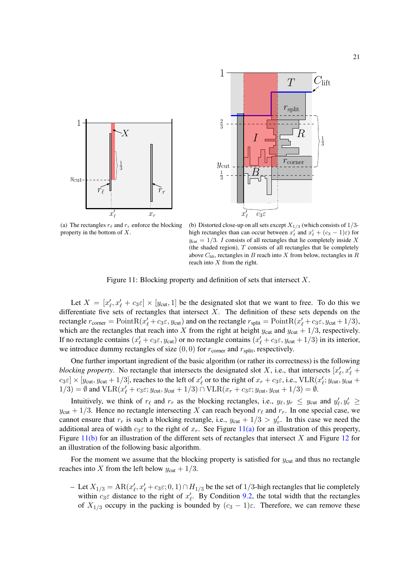

 $x'_{\ell}$  $\frac{\prime}{\ell}$   $x_r$ (a) The rectangles  $r_\ell$  and  $r_r$  enforce the blocking property in the bottom of X.

1 3

 $X_{\pm}$ 

 $\widetilde{r}_r$ 

 $\tilde{r_{\ell}}$ 

1

 $y_{\text{cut}}$ 

(b) Distorted close-up on all sets except  $X_{1/3}$  (which consists of  $1/3$ high rectangles than can occur between  $x'_{\ell}$  and  $x'_{\ell} + (c_3 - 1)\varepsilon$ ) for  $y_{\text{cut}} = 1/3$ . I consists of all rectangles that lie completely inside X (the shaded region),  $T$  consists of all rectangles that lie completely above  $C_{\text{lift}}$ , rectangles in B reach into X from below, rectangles in R reach into  $X$  from the right.

Figure 11: Blocking property and definition of sets that intersect  $X$ .

Let  $X = [x'_{\ell}, x'_{\ell} + c_3 \varepsilon] \times [y_{\text{cut}}, 1]$  be the designated slot that we want to free. To do this we differentiate five sets of rectangles that intersect  $X$ . The definition of these sets depends on the rectangle  $r_{\text{corner}} = \text{PointR}(x_{\ell}^{\prime} + c_3 \varepsilon, y_{\text{cut}})$  and on the rectangle  $r_{\text{split}} = \text{PointR}(x_{\ell}^{\prime} + c_3 \varepsilon, y_{\text{cut}} + 1/3)$ , which are the rectangles that reach into X from the right at height  $y_{\text{cut}}$  and  $y_{\text{cut}} + 1/3$ , respectively. If no rectangle contains  $(x'_\ell + c_3 \varepsilon, y_{\text{cut}})$  or no rectangle contains  $(x'_\ell + c_3 \varepsilon, y_{\text{cut}} + 1/3)$  in its interior, we introduce dummy rectangles of size  $(0, 0)$  for  $r_{\text{corner}}$  and  $r_{\text{split}}$ , respectively.

One further important ingredient of the basic algorithm (or rather its correctness) is the following blocking property. No rectangle that intersects the designated slot X, i.e., that intersects  $[x'_\ell, x'_\ell +$  $c_3\varepsilon \times [y_{\text{cut}}, y_{\text{cut}} + 1/3]$ , reaches to the left of  $x'_\ell$  or to the right of  $x_r + c_3\varepsilon$ , i.e.,  $\text{VLR}(x'_\ell; y_{\text{cut}}, y_{\text{cut}} + y_{\text{cut}})$  $1/3$ ) = Ø and VLR( $x'_{\ell}$  +  $c_3 \varepsilon$ ;  $y_{\text{cut}}$ ,  $y_{\text{cut}} + 1/3$ )  $\cap$  VLR( $x_r$  +  $c_3 \varepsilon$ ;  $y_{\text{cut}}$ ,  $y_{\text{cut}} + 1/3$ ) = Ø.

Intuitively, we think of  $r_\ell$  and  $r_r$  as the blocking rectangles, i.e.,  $y_\ell, y_r \leq y_{\text{cut}}$  and  $y'_\ell, y'_r \geq$  $y_{\text{cut}} + 1/3$ . Hence no rectangle intersecting X can reach beyond  $r_\ell$  and  $r_r$ . In one special case, we cannot ensure that  $r_r$  is such a blocking rectangle, i.e.,  $y_{\text{cut}} + 1/3 > y'_r$ . In this case we need the additional area of width  $c_3\varepsilon$  to the right of  $x_r$ . See Figure 11(a) for an illustration of this property, Figure 11(b) for an illustration of the different sets of rectangles that intersect X and Figure 12 for an illustration of the following basic algorithm.

For the moment we assume that the blocking property is satisfied for  $y_{\text{cut}}$  and thus no rectangle reaches into X from the left below  $y_{\text{cut}} + 1/3$ .

 $-$  Let  $X_{1/3} = AR(x'_\ell, x'_\ell + c_3 \varepsilon; 0, 1) ∩ H_{1/3}$  be the set of 1/3-high rectangles that lie completely within  $c_3 \varepsilon$  distance to the right of  $x'_\ell$ . By Condition 9.2, the total width that the rectangles of  $X_{1/3}$  occupy in the packing is bounded by  $(c_3 - 1)\varepsilon$ . Therefore, we can remove these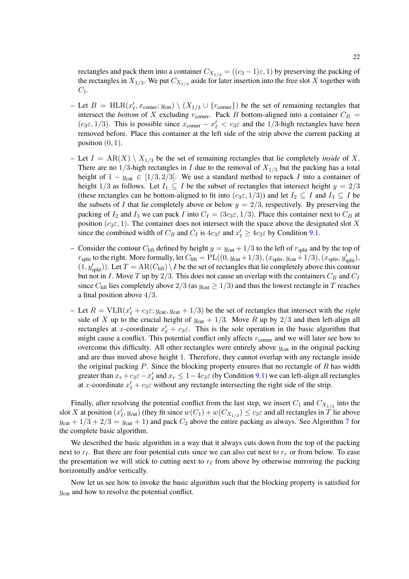rectangles and pack them into a container  $C_{X_{1/3}} = ((c_3 - 1)\varepsilon, 1)$  by preserving the packing of the rectangles in  $X_{1/3}$ . We put  $C_{X_{1/3}}$  aside for later insertion into the free slot X together with  $C_1$ .

- Let  $B = \text{HLR}(x'_{\ell}, x_{\text{corner}}; y_{\text{cut}}) \setminus (X_{1/3} \cup \{r_{\text{corner}}\})$  be the set of remaining rectangles that intersect the *bottom* of X excluding  $r_{\text{corner}}$ . Pack B bottom-aligned into a container  $C_B$  =  $(c_3\varepsilon, 1/3)$ . This is possible since  $x_{\text{corner}} - x'_\ell < c_3\varepsilon$  and the 1/3-high rectangles have been removed before. Place this container at the left side of the strip above the current packing at position  $(0, 1)$ .
- Let  $I = AR(X) \setminus X_{1/3}$  be the set of remaining rectangles that lie completely *inside* of X. There are no 1/3-high rectangles in I due to the removal of  $X_{1/3}$  but the packing has a total height of  $1 - y_{\text{cut}} \in [1/3, 2/3]$ . We use a standard method to repack I into a container of height 1/3 as follows. Let  $I_1 \subseteq I$  be the subset of rectangles that intersect height  $y = 2/3$ (these rectangles can be bottom-aligned to fit into  $(c_3\varepsilon, 1/3)$ ) and let  $I_2 \subseteq I$  and  $I_3 \subseteq I$  be the subsets of I that lie completely above or below  $y = 2/3$ , respectively. By preserving the packing of  $I_2$  and  $I_3$  we can pack I into  $C_I = (3c_3\varepsilon, 1/3)$ . Place this container next to  $C_B$  at position  $(c_3 \varepsilon, 1)$ . The container does not intersect with the space above the designated slot X since the combined width of  $C_B$  and  $C_I$  is  $4c_3\varepsilon$  and  $x'_\ell \geq 4c_3\varepsilon$  by Condition 9.1.
- Consider the contour Clift defined by height  $y = y_{\text{cut}} + 1/3$  to the left of  $r_{\text{split}}$  and by the top of  $r_{split}$  to the right. More formally, let  $C_{lift} = PL((0, y_{cut} + 1/3), (x_{split}, y_{cut} + 1/3), (x_{split}, y_{split}^{\prime}),$  $(1, y'_{split})$ ). Let  $T = AR(C_{lift}) \setminus I$  be the set of rectangles that lie completely above this contour but not in I. Move T up by  $2/3$ . This does not cause an overlap with the containers  $C_B$  and  $C_I$ since  $C_{\text{lift}}$  lies completely above  $2/3$  (as  $y_{\text{cut}} \ge 1/3$ ) and thus the lowest rectangle in T reaches a final position above  $4/3$ .
- $-$  Let  $R = \text{VLR}(x'_\ell + c_3\varepsilon; y_{\text{cut}}, y_{\text{cut}} + 1/3)$  be the set of rectangles that intersect with the *right* side of X up to the crucial height of  $y_{\text{cut}} + 1/3$ . Move R up by 2/3 and then left-align all rectangles at x-coordinate  $x'_\ell + c_3 \varepsilon$ . This is the sole operation in the basic algorithm that might cause a conflict. This potential conflict only affects  $r_{\text{corner}}$  and we will later see how to overcome this difficulty. All other rectangles were entirely above  $y_{\text{cut}}$  in the original packing and are thus moved above height 1. Therefore, they cannot overlap with any rectangle inside the original packing  $P$ . Since the blocking property ensures that no rectangle of  $R$  has width greater than  $x_r + c_3 \varepsilon - x'_\ell$  and  $x_r \leq 1-4c_3 \varepsilon$  (by Condition 9.1) we can left-align all rectangles at x-coordinate  $x'_\ell + c_3 \varepsilon$  without any rectangle intersecting the right side of the strip.

Finally, after resolving the potential conflict from the last step, we insert  $C_1$  and  $C_{X_{1/3}}$  into the slot X at position  $(x'_\ell, y_{\text{cut}})$  (they fit since  $w(C_1) + w(C_{X_{1/3}}) \le c_3 \varepsilon$  and all rectangles in T lie above  $y_{\text{cut}} + 1/3 + 2/3 = y_{\text{cut}} + 1$  and pack  $C_2$  above the entire packing as always. See Algorithm 7 for the complete basic algorithm.

We described the basic algorithm in a way that it always cuts down from the top of the packing next to  $r_\ell$ . But there are four potential cuts since we can also cut next to  $r_r$  or from below. To ease the presentation we will stick to cutting next to  $r_\ell$  from above by otherwise mirroring the packing horizontally and/or vertically.

Now let us see how to invoke the basic algorithm such that the blocking property is satisfied for  $y_{\text{cut}}$  and how to resolve the potential conflict.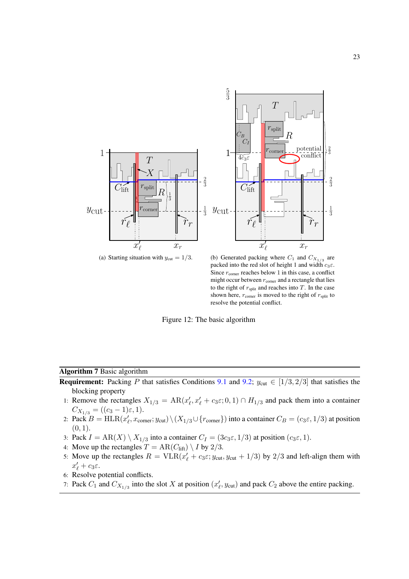

(b) Generated packing where  $C_1$  and  $C_{X_{1/3}}$  are packed into the red slot of height 1 and width  $c_3 \varepsilon$ . Since  $r_{\text{corner}}$  reaches below 1 in this case, a conflict might occur between  $r_{\text{corner}}$  and a rectangle that lies to the right of  $r_{split}$  and reaches into T. In the case shown here,  $r_{\text{corner}}$  is moved to the right of  $r_{\text{split}}$  to resolve the potential conflict.

Figure 12: The basic algorithm

#### Algorithm 7 Basic algorithm

- **Requirement:** Packing P that satisfies Conditions 9.1 and 9.2;  $y_{\text{cut}} \in [1/3, 2/3]$  that satisfies the blocking property
	- 1: Remove the rectangles  $X_{1/3} = AR(x'_\ell, x'_\ell + c_3 \varepsilon; 0, 1) \cap H_{1/3}$  and pack them into a container  $C_{X_{1/3}} = ((c_3 - 1)\varepsilon, 1).$
	- 2: Pack  $B = \text{HLR}(x'_{\ell}, x_{\text{corner}}; y_{\text{cut}}) \setminus (X_{1/3} \cup \{r_{\text{corner}}\})$  into a container  $C_B = (c_3 \varepsilon, 1/3)$  at position  $(0, 1)$ .
	- 3: Pack  $I = AR(X) \setminus X_{1/3}$  into a container  $C_I = (3c_3\varepsilon, 1/3)$  at position  $(c_3\varepsilon, 1)$ .
- 4: Move up the rectangles  $T = AR(C_{lift}) \setminus I$  by 2/3.
- 5: Move up the rectangles  $R = \text{VLR}(x_{\ell}^{\prime} + c_3 \varepsilon; y_{\text{cut}}, y_{\text{cut}} + 1/3)$  by 2/3 and left-align them with  $x'_{\ell} + c_3 \varepsilon.$
- 6: Resolve potential conflicts.
- 7: Pack  $C_1$  and  $C_{X_{1/3}}$  into the slot X at position  $(x'_\ell, y_{\text{cut}})$  and pack  $C_2$  above the entire packing.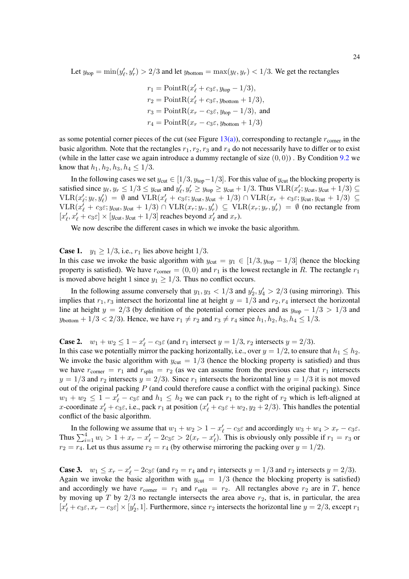Let  $y_{\text{top}} = \min(y'_{\ell}, y'_{r}) > 2/3$  and let  $y_{\text{bottom}} = \max(y_{\ell}, y_{r}) < 1/3$ . We get the rectangles

$$
r_1 = \text{PointR}(x'_\ell + c_3\varepsilon, y_{\text{top}} - 1/3),
$$
  
\n
$$
r_2 = \text{PointR}(x'_\ell + c_3\varepsilon, y_{\text{bottom}} + 1/3),
$$
  
\n
$$
r_3 = \text{PointR}(x_r - c_3\varepsilon, y_{\text{top}} - 1/3), \text{ and}
$$
  
\n
$$
r_4 = \text{PointR}(x_r - c_3\varepsilon, y_{\text{bottom}} + 1/3)
$$

as some potential corner pieces of the cut (see Figure 13(a)), corresponding to rectangle  $r_{\text{corner}}$  in the basic algorithm. Note that the rectangles  $r_1, r_2, r_3$  and  $r_4$  do not necessarily have to differ or to exist (while in the latter case we again introduce a dummy rectangle of size  $(0, 0)$ ). By Condition 9.2 we know that  $h_1, h_2, h_3, h_4 \leq 1/3$ .

In the following cases we set  $y_{\text{cut}} \in [1/3, y_{\text{top}}-1/3]$ . For this value of  $y_{\text{cut}}$  the blocking property is satisfied since  $y_\ell, y_r \le 1/3 \le y_{\text{cut}}$  and  $y'_\ell, y'_r \ge y_{\text{top}} \ge y_{\text{cut}} + 1/3$ . Thus  $\text{VLR}(x'_\ell; y_{\text{cut}}, y_{\text{cut}} + 1/3) \subseteq$  $\text{VLR}(x'_{\ell};y_{\ell},y'_{\ell}) = \emptyset$  and  $\text{VLR}(x'_{\ell} + c_3\varepsilon; y_{\text{cut}}, y_{\text{cut}} + 1/3) \cap \text{VLR}(x_r + c_3\varepsilon; y_{\text{cut}}, y_{\text{cut}} + 1/3) \subseteq$  $VLR(x'_{\ell} + c_3\varepsilon; y_{\text{cut}}, y_{\text{cut}} + 1/3) \cap VLR(x_r; y_r, y'_r) \subseteq VLR(x_r; y_r, y'_r) = \emptyset$  (no rectangle from  $[x'_{\ell}, x'_{\ell} + c_3 \varepsilon] \times [y_{\text{cut}}, y_{\text{cut}} + 1/3]$  reaches beyond  $x'_{\ell}$  and  $x_r$ ).

We now describe the different cases in which we invoke the basic algorithm.

**Case 1.**  $y_1 \ge 1/3$ , i.e.,  $r_1$  lies above height  $1/3$ .

In this case we invoke the basic algorithm with  $y_{\text{cut}} = y_1 \in [1/3, y_{\text{top}} - 1/3]$  (hence the blocking property is satisfied). We have  $r_{\text{corner}} = (0, 0)$  and  $r_1$  is the lowest rectangle in R. The rectangle  $r_1$ is moved above height 1 since  $y_1 \geq 1/3$ . Thus no conflict occurs.

In the following assume conversely that  $y_1, y_3 < 1/3$  and  $y'_2, y'_4 > 2/3$  (using mirroring). This implies that  $r_1, r_3$  intersect the horizontal line at height  $y = 1/3$  and  $r_2, r_4$  intersect the horizontal line at height  $y = 2/3$  (by definition of the potential corner pieces and as  $y_{\text{top}} - 1/3 > 1/3$  and  $y_{\text{bottom}} + 1/3 < 2/3$ . Hence, we have  $r_1 \neq r_2$  and  $r_3 \neq r_4$  since  $h_1, h_2, h_3, h_4 \leq 1/3$ .

**Case 2.**  $w_1 + w_2 \le 1 - x'_\ell - c_3 \varepsilon$  (and  $r_1$  intersect  $y = 1/3$ ,  $r_2$  intersects  $y = 2/3$ ).

In this case we potentially mirror the packing horizontally, i.e., over  $y = 1/2$ , to ensure that  $h_1 \leq h_2$ . We invoke the basic algorithm with  $y_{\text{cut}} = 1/3$  (hence the blocking property is satisfied) and thus we have  $r_{\text{corner}} = r_1$  and  $r_{\text{split}} = r_2$  (as we can assume from the previous case that  $r_1$  intersects  $y = 1/3$  and  $r_2$  intersects  $y = 2/3$ . Since  $r_1$  intersects the horizontal line  $y = 1/3$  it is not moved out of the original packing  $P$  (and could therefore cause a conflict with the original packing). Since  $w_1 + w_2 \leq 1 - x'_\ell - c_3 \varepsilon$  and  $h_1 \leq h_2$  we can pack  $r_1$  to the right of  $r_2$  which is left-aligned at x-coordinate  $x'_\ell + c_3 \varepsilon$ , i.e., pack  $r_1$  at position  $(x'_\ell + c_3 \varepsilon + w_2, y_2 + 2/3)$ . This handles the potential conflict of the basic algorithm.

In the following we assume that  $w_1 + w_2 > 1 - x'_\ell - c_3 \varepsilon$  and accordingly  $w_3 + w_4 > x_r - c_3 \varepsilon$ . Thus  $\sum_{i=1}^{4} w_i > 1 + x_r - x'_\ell - 2c_3 \varepsilon > 2(x_r - x'_\ell)$ . This is obviously only possible if  $r_1 = r_3$  or  $r_2 = r_4$ . Let us thus assume  $r_2 = r_4$  (by otherwise mirroring the packing over  $y = 1/2$ ).

**Case 3.**  $w_1 \le x_r - x'_\ell - 2c_3\varepsilon$  (and  $r_2 = r_4$  and  $r_1$  intersects  $y = 1/3$  and  $r_2$  intersects  $y = 2/3$ ). Again we invoke the basic algorithm with  $y_{\text{cut}} = 1/3$  (hence the blocking property is satisfied) and accordingly we have  $r_{\text{corner}} = r_1$  and  $r_{\text{split}} = r_2$ . All rectangles above  $r_2$  are in T, hence by moving up T by  $2/3$  no rectangle intersects the area above  $r_2$ , that is, in particular, the area  $[x'_{\ell} + c_3\varepsilon, x_r - c_3\varepsilon] \times [y'_2, 1]$ . Furthermore, since  $r_2$  intersects the horizontal line  $y = 2/3$ , except  $r_1$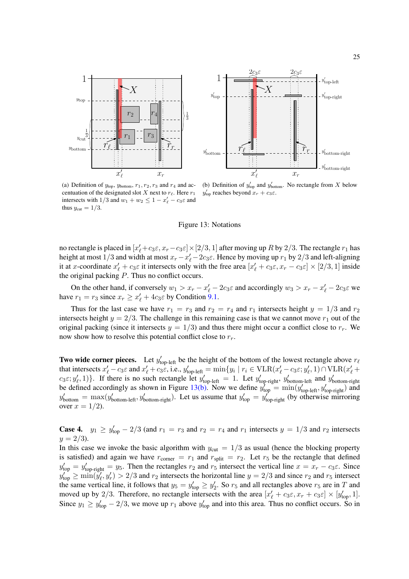



(a) Definition of  $y_{top}$ ,  $y_{bottom}$ ,  $r_1$ ,  $r_2$ ,  $r_3$  and  $r_4$  and accentuation of the designated slot X next to  $r_\ell$ . Here  $r_1$ intersects with  $1/3$  and  $w_1 + w_2 \leq 1 - x'_\ell - c_3 \varepsilon$  and thus  $y_{\text{cut}} = 1/3$ .

(b) Definition of  $y'_{top}$  and  $y'_{bottom}$ . No rectangle from X below  $y'_{\text{top}}$  reaches beyond  $x_r + c_3 \varepsilon$ .

#### Figure 13: Notations

no rectangle is placed in  $[x'_\ell + c_3 \varepsilon, x_r - c_3 \varepsilon] \times [2/3, 1]$  after moving up R by 2/3. The rectangle  $r_1$  has height at most 1/3 and width at most  $x_r - x'_\ell - 2c_3\varepsilon$ . Hence by moving up  $r_1$  by 2/3 and left-aligning it at x-coordinate  $x'_\ell + c_3 \varepsilon$  it intersects only with the free area  $[x'_\ell + c_3 \varepsilon, x_r - c_3 \varepsilon] \times [2/3, 1]$  inside the original packing P. Thus no conflict occurs.

On the other hand, if conversely  $w_1 > x_r - x'_\ell - 2c_3 \varepsilon$  and accordingly  $w_3 > x_r - x'_\ell - 2c_3 \varepsilon$  we have  $r_1 = r_3$  since  $x_r \ge x'_\ell + 4c_3\varepsilon$  by Condition 9.1.

Thus for the last case we have  $r_1 = r_3$  and  $r_2 = r_4$  and  $r_1$  intersects height  $y = 1/3$  and  $r_2$ intersects height  $y = 2/3$ . The challenge in this remaining case is that we cannot move  $r_1$  out of the original packing (since it intersects  $y = 1/3$ ) and thus there might occur a conflict close to  $r_r$ . We now show how to resolve this potential conflict close to  $r_r$ .

**Two wide corner pieces.** Let  $y'_{top-left}$  be the height of the bottom of the lowest rectangle above  $r_{\ell}$ that intersects  $x'_{\ell} - c_3 \varepsilon$  and  $x'_{\ell} + c_3 \varepsilon$ , i.e.,  $y'_{\text{top-left}} = \min\{y_i \mid r_i \in \text{VLR}(x'_{\ell} - c_3 \varepsilon; y'_{\ell}, 1) \cap \text{VLR}(x'_{\ell} + c_3 \varepsilon; y'_{\ell})\}$  $c_3 \varepsilon$ ;  $y'_\ell$ , 1). If there is no such rectangle let  $y'_{top-left} = 1$ . Let  $y'_{top-right}$ ,  $y'_{bottom-left}$  and  $y'_{bottom-right}$ be defined accordingly as shown in Figure 13(b). Now we define  $y'_{top} = \min(y'_{top-left}, y'_{top-right})$  and  $y'_{\text{bottom}} = \max(y'_{\text{bottom-left}}, y'_{\text{bottom-right}})$ . Let us assume that  $y'_{\text{top}} = y'_{\text{top-right}}$  (by otherwise mirroring over  $x = 1/2$ .

**Case 4.**  $y_1 \ge y'_{top} - 2/3$  (and  $r_1 = r_3$  and  $r_2 = r_4$  and  $r_1$  intersects  $y = 1/3$  and  $r_2$  intersects  $y = 2/3$ .

In this case we invoke the basic algorithm with  $y_{\text{cut}} = 1/3$  as usual (hence the blocking property is satisfied) and again we have  $r_{\text{corner}} = r_1$  and  $r_{\text{split}} = r_2$ . Let  $r_5$  be the rectangle that defined  $y'_{\text{top}} = y'_{\text{top-right}} = y_5$ . Then the rectangles  $r_2$  and  $r_5$  intersect the vertical line  $x = x_r - c_3 \varepsilon$ . Since  $y'_{top} \ge \min(y'_\ell, y'_r) > 2/3$  and  $r_2$  intersects the horizontal line  $y = 2/3$  and since  $r_2$  and  $r_5$  intersect the same vertical line, it follows that  $y_5 = y'_{top} \ge y'_2$ . So  $r_5$  and all rectangles above  $r_5$  are in T and moved up by 2/3. Therefore, no rectangle intersects with the area  $[x'_\ell + c_3\varepsilon, x_r + c_3\varepsilon] \times [y'_{top}, 1]$ . Since  $y_1 \ge y'_{top} - 2/3$ , we move up  $r_1$  above  $y'_{top}$  and into this area. Thus no conflict occurs. So in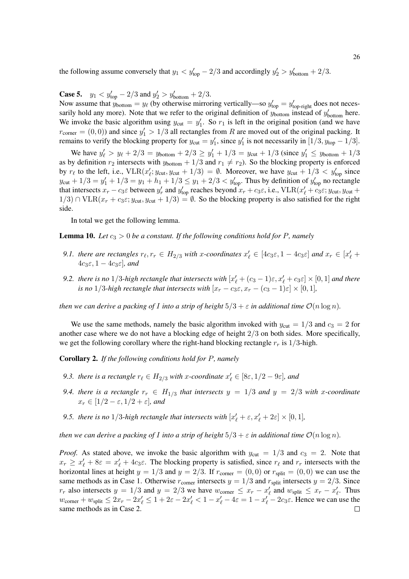the following assume conversely that  $y_1 < y'_{top} - 2/3$  and accordingly  $y'_2 > y'_{bottom} + 2/3$ .

#### **Case 5.**  $y_1 < y'_{top} - 2/3$  and  $y'_2 > y'_{bottom} + 2/3$ .

Now assume that  $y_{bottom} = y_\ell$  (by otherwise mirroring vertically—so  $y'_{top} = y'_{top-right}$  does not necessarily hold any more). Note that we refer to the original definition of  $y_{bottom}$  instead of  $y'_{bottom}$  here. We invoke the basic algorithm using  $y_{\text{cut}} = y'_1$ . So  $r_1$  is left in the original position (and we have  $r_{\text{corner}} = (0, 0)$  and since  $y_1' > 1/3$  all rectangles from R are moved out of the original packing. It remains to verify the blocking property for  $y_{\text{cut}} = y'_1$ , since  $y'_1$  is not necessarily in [1/3,  $y_{\text{top}} - 1/3$ ].

We have  $y'_{\ell} > y_{\ell} + 2/3 = y_{\text{bottom}} + 2/3 \ge y'_{1} + 1/3 = y_{\text{cut}} + 1/3$  (since  $y'_{1} \le y_{\text{bottom}} + 1/3$ as by definition  $r_2$  intersects with  $y_{\text{bottom}} + 1/3$  and  $r_1 \neq r_2$ ). So the blocking property is enforced by  $r_{\ell}$  to the left, i.e.,  $VLR(x'_{\ell}; y_{\text{cut}}, y_{\text{cut}} + 1/3) = \emptyset$ . Moreover, we have  $y_{\text{cut}} + 1/3 < y'_{\text{top}}$  since  $y_{\text{cut}} + 1/3 = y'_1 + 1/3 = y_1 + h_1 + 1/3 \le y_1 + 2/3 < y'_{\text{top}}$ . Thus by definition of  $y'_{\text{top}}$  no rectangle that intersects  $x_r - c_3 \varepsilon$  between  $y'_r$  and  $y'_{top}$  reaches beyond  $x_r + c_3 \varepsilon$ , i.e.,  $VLR(x'_\ell + c_3 \varepsilon; y_{cut}, y_{cut} + z_{int})$  $1/3$ ) ∩ VLR( $x_r + c_3 \varepsilon$ ;  $y_{\text{cut}}, y_{\text{cut}} + 1/3$ ) =  $\emptyset$ . So the blocking property is also satisfied for the right side.

In total we get the following lemma.

**Lemma 10.** Let  $c_3 > 0$  be a constant. If the following conditions hold for P, namely

- *9.1. there are rectangles*  $r_\ell, r_r \in H_{2/3}$  *with* x-coordinates  $x'_\ell \in [4c_3\varepsilon, 1-4c_3\varepsilon]$  and  $x_r \in [x'_\ell +$  $4c_3\varepsilon, 1-4c_3\varepsilon$ *, and*
- 9.2. *there is no*  $1/3$ -high rectangle that intersects with  $[x'_{\ell} + (c_3 1)\varepsilon, x'_{\ell} + c_3 \varepsilon] \times [0,1]$  and there *is no*  $1/3$ -high rectangle that intersects with  $[x_r - c_3\varepsilon, x_r - (c_3 - 1)\varepsilon] \times [0,1]$ ,

*then we can derive a packing of I into a strip of height*  $5/3 + \varepsilon$  *in additional time*  $\mathcal{O}(n \log n)$ *.* 

We use the same methods, namely the basic algorithm invoked with  $y_{\text{cut}} = 1/3$  and  $c_3 = 2$  for another case where we do not have a blocking edge of height 2/3 on both sides. More specifically, we get the following corollary where the right-hand blocking rectangle  $r_r$  is 1/3-high.

Corollary 2. *If the following conditions hold for* P*, namely*

- 9.3. *there is a rectangle*  $r_\ell \in H_{2/3}$  *with* x-coordinate  $x'_\ell \in [8\varepsilon, 1/2 9\varepsilon]$ *, and*
- *9.4. there is a rectangle*  $r_r \in H_{1/3}$  *that intersects*  $y = 1/3$  *and*  $y = 2/3$  *with* x-coordinate  $x_r \in [1/2 - \varepsilon, 1/2 + \varepsilon]$ , and
- 9.5. *there is no*  $1/3$ -*high rectangle that intersects with*  $[x'_{\ell} + \varepsilon, x'_{\ell} + 2\varepsilon] \times [0,1]$ *,*

*then we can derive a packing of I into a strip of height*  $5/3 + \varepsilon$  *in additional time*  $\mathcal{O}(n \log n)$ *.* 

*Proof.* As stated above, we invoke the basic algorithm with  $y_{\text{cut}} = 1/3$  and  $c_3 = 2$ . Note that  $x_r \ge x'_\ell + 8\varepsilon = x'_\ell + 4c_3\varepsilon$ . The blocking property is satisfied, since  $r_\ell$  and  $r_r$  intersects with the horizontal lines at height  $y = 1/3$  and  $y = 2/3$ . If  $r_{\text{corner}} = (0, 0)$  or  $r_{\text{split}} = (0, 0)$  we can use the same methods as in Case 1. Otherwise  $r_{\text{corner}}$  intersects  $y = 1/3$  and  $r_{\text{split}}$  intersects  $y = 2/3$ . Since  $r_r$  also intersects  $y = 1/3$  and  $y = 2/3$  we have  $w_{\text{corner}} \le x_r - x'_\ell$  and  $w_{\text{split}} \le x_r - x'_\ell$ . Thus  $w_{\text{corner}} + w_{\text{split}} \leq 2x_r - 2x'_{\ell} \leq 1 + 2\varepsilon - 2x'_{\ell} < 1 - x'_{\ell} - 4\varepsilon = 1 - x'_{\ell} - 2c_3\varepsilon$ . Hence we can use the same methods as in Case 2.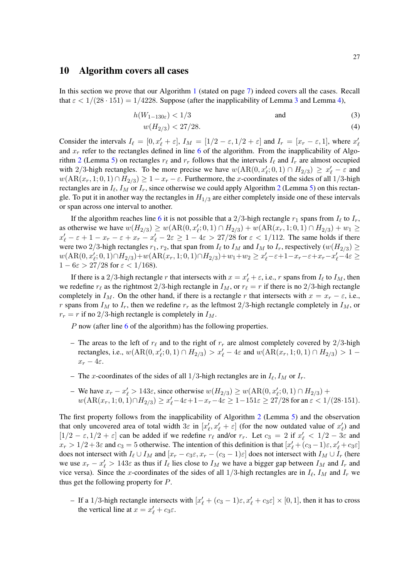#### 10 Algorithm covers all cases

In this section we prove that our Algorithm 1 (stated on page 7) indeed covers all the cases. Recall that  $\varepsilon < 1/(28 \cdot 151) = 1/4228$ . Suppose (after the inapplicability of Lemma 3 and Lemma 4),

$$
h(W_{1-130\varepsilon}) < 1/3 \tag{3}
$$

$$
w(H_{2/3}) < 27/28. \tag{4}
$$

Consider the intervals  $I_\ell = [0, x'_\ell + \varepsilon], I_M = [1/2 - \varepsilon, 1/2 + \varepsilon]$  and  $I_r = [x_r - \varepsilon, 1]$ , where  $x'_\ell$ and  $x_r$  refer to the rectangles defined in line 6 of the algorithm. From the inapplicability of Algorithm 2 (Lemma 5) on rectangles  $r_\ell$  and  $r_r$  follows that the intervals  $I_\ell$  and  $I_r$  are almost occupied with 2/3-high rectangles. To be more precise we have  $w(AR(0, x_0; 0, 1) \cap H_{2/3}) \ge x_0' - \varepsilon$  and  $w(\text{AR}(x_r, 1; 0, 1) \cap H_{2/3}) \ge 1 - x_r - \varepsilon$ . Furthermore, the x-coordinates of the sides of all 1/3-high rectangles are in  $I_\ell$ ,  $I_M$  or  $I_r$ , since otherwise we could apply Algorithm 2 (Lemma 5) on this rectangle. To put it in another way the rectangles in  $H_{1/3}$  are either completely inside one of these intervals or span across one interval to another.

If the algorithm reaches line 6 it is not possible that a 2/3-high rectangle  $r_1$  spans from  $I_\ell$  to  $I_r$ , as otherwise we have  $w(H_{2/3}) \ge w(\text{AR}(0, x'_\ell; 0, 1) \cap H_{2/3}) + w(\text{AR}(x_r, 1; 0, 1) \cap H_{2/3}) + w_1 \ge$  $x'_\ell - \varepsilon + 1 - x_r - \varepsilon + x_r - x'_\ell - 2\varepsilon \ge 1 - 4\varepsilon > 27/28$  for  $\varepsilon < 1/112$ . The same holds if there were two 2/3-high rectangles  $r_1, r_2$ , that span from  $I_\ell$  to  $I_M$  and  $I_M$  to  $I_r$ , respectively  $(w(H_{2/3}) \geq$  $w(\text{AR}(0, x_i'; 0, 1) \cap H_{2/3}) + w(\text{AR}(x_r, 1; 0, 1) \cap H_{2/3}) + w_1 + w_2 \geq x_i' - \varepsilon + 1 - x_r - \varepsilon + x_r - x_i' - 4\varepsilon \geq$  $1 - 6\varepsilon > 27/28$  for  $\varepsilon < 1/168$ ).

If there is a 2/3-high rectangle r that intersects with  $x = x'_\ell + \varepsilon$ , i.e., r spans from  $I_\ell$  to  $I_M$ , then we redefine  $r_\ell$  as the rightmost 2/3-high rectangle in  $I_M$ , or  $r_\ell = r$  if there is no 2/3-high rectangle completely in  $I_M$ . On the other hand, if there is a rectangle r that intersects with  $x = x_r - \varepsilon$ , i.e., r spans from  $I_M$  to  $I_r$ , then we redefine  $r_r$  as the leftmost 2/3-high rectangle completely in  $I_M$ , or  $r_r = r$  if no 2/3-high rectangle is completely in  $I_M$ .

P now (after line 6 of the algorithm) has the following properties.

- The areas to the left of  $r_\ell$  and to the right of  $r_r$  are almost completely covered by 2/3-high rectangles, i.e.,  $w(\text{AR}(0, x'_{\ell}; 0, 1) \cap H_{2/3}) > x'_{\ell} - 4\varepsilon$  and  $w(\text{AR}(x_r, 1; 0, 1) \cap H_{2/3}) > 1$  $x_r - 4\varepsilon$ .
- The x-coordinates of the sides of all 1/3-high rectangles are in  $I_\ell$ ,  $I_M$  or  $I_r$ .
- We have  $x_r x'_\ell > 143\varepsilon$ , since otherwise  $w(H_{2/3}) \geq w(\text{AR}(0, x'_\ell; 0, 1) \cap H_{2/3}) +$  $w(\text{AR}(x_r, 1; 0, 1) \cap H_{2/3}) \ge x'_\ell - 4\varepsilon + 1 - x_r - 4\varepsilon \ge 1 - 151\varepsilon \ge 27/28$  for an  $\varepsilon < 1/(28 \cdot 151)$ .

The first property follows from the inapplicability of Algorithm 2 (Lemma 5) and the observation that only uncovered area of total width  $3\varepsilon$  in  $[x'_\ell, x'_\ell + \varepsilon]$  (for the now outdated value of  $x'_\ell$ ) and  $[1/2 - \varepsilon, 1/2 + \varepsilon]$  can be added if we redefine  $r_\ell$  and/or  $r_r$ . Let  $c_3 = 2$  if  $x'_\ell < 1/2 - 3\varepsilon$  and  $x_r > 1/2 + 3\varepsilon$  and  $c_3 = 5$  otherwise. The intention of this definition is that  $[x'_\ell + (c_3 - 1)\varepsilon, x'_\ell + c_3\varepsilon]$ does not intersect with  $I_\ell \cup I_M$  and  $[x_r - c_3 \varepsilon, x_r - (c_3 - 1)\varepsilon]$  does not intersect with  $I_M \cup I_r$  (here we use  $x_r - x'_\ell > 143\varepsilon$  as thus if  $I_\ell$  lies close to  $I_M$  we have a bigger gap between  $I_M$  and  $I_r$  and vice versa). Since the x-coordinates of the sides of all  $1/3$ -high rectangles are in  $I_\ell$ ,  $I_M$  and  $I_r$  we thus get the following property for P.

- If a 1/3-high rectangle intersects with  $[x'_{\ell} + (c_3 - 1)\varepsilon, x'_{\ell} + c_3 \varepsilon] \times [0, 1]$ , then it has to cross the vertical line at  $x = x'_\ell + c_3 \varepsilon$ .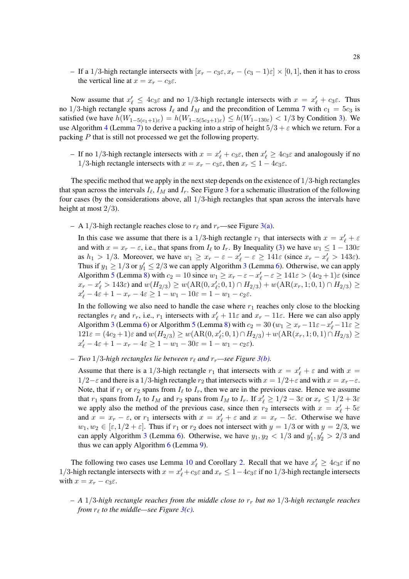– If a 1/3-high rectangle intersects with  $[x_r - c_3\varepsilon, x_r - (c_3 - 1)\varepsilon] \times [0, 1]$ , then it has to cross the vertical line at  $x = x_r - c_3 \varepsilon$ .

Now assume that  $x'_\ell \leq 4c_3\varepsilon$  and no 1/3-high rectangle intersects with  $x = x'_\ell + c_3\varepsilon$ . Thus no 1/3-high rectangle spans across  $I_\ell$  and  $I_M$  and the precondition of Lemma 7 with  $c_1 = 5c_3$  is satisfied (we have  $h(W_{1-5(c_1+1)\varepsilon}) = h(W_{1-5(5c_3+1)\varepsilon}) \leq h(W_{1-130\varepsilon}) < 1/3$  by Condition 3). We use Algorithm 4 (Lemma 7) to derive a packing into a strip of height  $5/3 + \varepsilon$  which we return. For a packing P that is still not processed we get the following property.

- If no 1/3-high rectangle intersects with  $x = x'_\ell + c_3 \varepsilon$ , then  $x'_\ell \geq 4c_3 \varepsilon$  and analogously if no 1/3-high rectangle intersects with  $x = x_r - c_3 \varepsilon$ , then  $x_r \leq 1 - 4c_3 \varepsilon$ .

The specific method that we apply in the next step depends on the existence of  $1/3$ -high rectangles that span across the intervals  $I_\ell$ ,  $I_M$  and  $I_r$ . See Figure 3 for a schematic illustration of the following four cases (by the considerations above, all 1/3-high rectangles that span across the intervals have height at most 2/3).

– A 1/3-high rectangle reaches close to  $r_\ell$  and  $r_r$ —see Figure 3(a).

In this case we assume that there is a 1/3-high rectangle  $r_1$  that intersects with  $x = x'_\ell + \varepsilon$ and with  $x = x_r - \varepsilon$ , i.e., that spans from  $I_\ell$  to  $I_r$ . By Inequality (3) we have  $w_1 \leq 1 - 130\varepsilon$ as  $h_1 > 1/3$ . Moreover, we have  $w_1 \ge x_r - \varepsilon - x'_\ell - \varepsilon \ge 141\varepsilon$  (since  $x_r - x'_\ell > 143\varepsilon$ ). Thus if  $y_1 \ge 1/3$  or  $y_1 \le 2/3$  we can apply Algorithm 3 (Lemma 6). Otherwise, we can apply Algorithm 5 (Lemma 8) with  $c_2 = 10$  since  $w_1 \ge x_r - \varepsilon - x'_\ell - \varepsilon \ge 141\varepsilon > (4c_2 + 1)\varepsilon$  (since  $x_r - x'_\ell > 143\varepsilon$ ) and  $w(H_{2/3}) \ge w(\text{AR}(0, x'_\ell; 0, 1) \cap H_{2/3}) + w(\text{AR}(x_r, 1; 0, 1) \cap H_{2/3}) \ge$  $x'_{\ell} - 4\varepsilon + 1 - x_r - 4\varepsilon \ge 1 - w_1 - 10\varepsilon = 1 - w_1 - c_2\varepsilon.$ 

In the following we also need to handle the case where  $r_1$  reaches only close to the blocking rectangles  $r_\ell$  and  $r_r$ , i.e.,  $r_1$  intersects with  $x'_\ell + 11\varepsilon$  and  $x_r - 11\varepsilon$ . Here we can also apply Algorithm 3 (Lemma 6) or Algorithm 5 (Lemma 8) with  $c_2 = 30 (w_1 \ge x_r - 11\varepsilon - x'_\ell - 11\varepsilon \ge$  $121\varepsilon = (4c_2 + 1)\varepsilon$  and  $w(H_{2/3}) \ge w(\text{AR}(0, x'_\ell; 0, 1) \cap H_{2/3}) + w(\text{AR}(x_r, 1; 0, 1) \cap H_{2/3}) \ge$  $x'_{\ell} - 4\varepsilon + 1 - x_r - 4\varepsilon \ge 1 - w_1 - 30\varepsilon = 1 - w_1 - c_2\varepsilon.$ 

 $-$  *Two* 1/3-high rectangles lie between  $r_\ell$  and  $r_r$ —see Figure 3(b).

Assume that there is a 1/3-high rectangle  $r_1$  that intersects with  $x = x'_\ell + \varepsilon$  and with  $x =$  $1/2$ −ε and there is a 1/3-high rectangle  $r_2$  that intersects with  $x = 1/2 + \varepsilon$  and with  $x = x_r - \varepsilon$ . Note, that if  $r_1$  or  $r_2$  spans from  $I_\ell$  to  $I_r$ , then we are in the previous case. Hence we assume that  $r_1$  spans from  $I_\ell$  to  $I_M$  and  $r_2$  spans from  $I_M$  to  $I_r$ . If  $x'_\ell \geq 1/2 - 3\varepsilon$  or  $x_r \leq 1/2 + 3\varepsilon$ we apply also the method of the previous case, since then  $r_2$  intersects with  $x = x'_\ell + 5\varepsilon$ and  $x = x_r - \varepsilon$ , or  $r_1$  intersects with  $x = x'_\ell + \varepsilon$  and  $x = x_r - 5\varepsilon$ . Otherwise we have  $w_1, w_2 \in [\varepsilon, 1/2 + \varepsilon]$ . Thus if  $r_1$  or  $r_2$  does not intersect with  $y = 1/3$  or with  $y = 2/3$ , we can apply Algorithm 3 (Lemma 6). Otherwise, we have  $y_1, y_2 < 1/3$  and  $y'_1, y'_2 > 2/3$  and thus we can apply Algorithm 6 (Lemma 9).

The following two cases use Lemma 10 and Corollary 2. Recall that we have  $x'_\ell \geq 4c_3\varepsilon$  if no 1/3-high rectangle intersects with  $x = x'_\ell + c_3 \varepsilon$  and  $x_r \le 1 - 4c_3 \varepsilon$  if no 1/3-high rectangle intersects with  $x = x_r - c_3 \varepsilon$ .

– *A* 1/3*-high rectangle reaches from the middle close to* r<sup>r</sup> *but no* 1/3*-high rectangle reaches from*  $r_{\ell}$  to the middle—see Figure 3(c).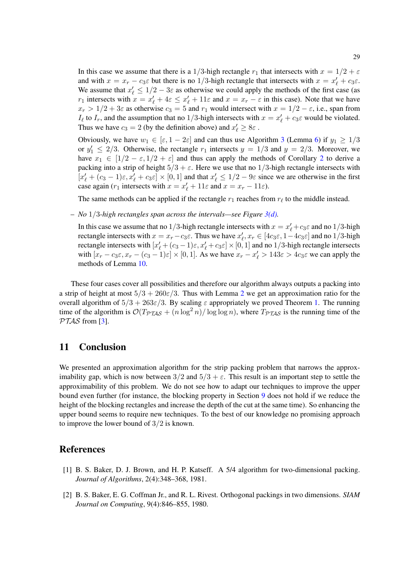In this case we assume that there is a 1/3-high rectangle  $r_1$  that intersects with  $x = 1/2 + \varepsilon$ and with  $x = x_r - c_3 \varepsilon$  but there is no 1/3-high rectangle that intersects with  $x = x'_\ell + c_3 \varepsilon$ . We assume that  $x'_\ell \leq 1/2 - 3\varepsilon$  as otherwise we could apply the methods of the first case (as  $r_1$  intersects with  $x = x'_\ell + 4\varepsilon \le x'_\ell + 11\varepsilon$  and  $x = x_r - \varepsilon$  in this case). Note that we have  $x_r > 1/2 + 3\varepsilon$  as otherwise  $c_3 = 5$  and  $r_1$  would intersect with  $x = 1/2 - \varepsilon$ , i.e., span from  $I_{\ell}$  to  $I_r$ , and the assumption that no 1/3-high intersects with  $x = x'_{\ell} + c_3 \varepsilon$  would be violated. Thus we have  $c_3 = 2$  (by the definition above) and  $x'_\ell \geq 8\varepsilon$ .

Obviously, we have  $w_1 \in [\varepsilon, 1 - 2\varepsilon]$  and can thus use Algorithm 3 (Lemma 6) if  $y_1 \geq 1/3$ or  $y'_1 \le 2/3$ . Otherwise, the rectangle  $r_1$  intersects  $y = 1/3$  and  $y = 2/3$ . Moreover, we have  $x_1 \in [1/2 - \varepsilon, 1/2 + \varepsilon]$  and thus can apply the methods of Corollary 2 to derive a packing into a strip of height  $5/3 + \varepsilon$ . Here we use that no  $1/3$ -high rectangle intersects with  $[x'_{\ell} + (c_3 - 1)\varepsilon, x'_{\ell} + c_3\varepsilon] \times [0, 1]$  and that  $x'_{\ell} \le 1/2 - 9\varepsilon$  since we are otherwise in the first case again ( $r_1$  intersects with  $x = x'_\ell + 11\varepsilon$  and  $x = x_r - 11\varepsilon$ ).

The same methods can be applied if the rectangle  $r_1$  reaches from  $r_\ell$  to the middle instead.

– *No* 1/3*-high rectangles span across the intervals—see Figure 3(d).*

In this case we assume that no 1/3-high rectangle intersects with  $x = x'_\ell + c_3 \varepsilon$  and no 1/3-high rectangle intersects with  $x = x_r - c_3 \varepsilon$ . Thus we have  $x'_\ell, x_r \in [4c_3 \varepsilon, 1-4c_3 \varepsilon]$  and no 1/3-high rectangle intersects with  $[x'_{\ell} + (c_3 - 1)\varepsilon, x'_{\ell} + c_3\varepsilon] \times [0, 1]$  and no 1/3-high rectangle intersects with  $[x_r - c_3 \varepsilon, x_r - (c_3 - 1)\varepsilon] \times [0, 1]$ . As we have  $x_r - x'_\ell > 143\varepsilon > 4c_3\varepsilon$  we can apply the methods of Lemma 10.

These four cases cover all possibilities and therefore our algorithm always outputs a packing into a strip of height at most  $5/3 + 260\varepsilon/3$ . Thus with Lemma 2 we get an approximation ratio for the overall algorithm of  $5/3 + 263\varepsilon/3$ . By scaling  $\varepsilon$  appropriately we proved Theorem 1. The running time of the algorithm is  $\mathcal{O}(T_{PTAS} + (n \log^2 n)/\log \log n)$ , where  $T_{PTAS}$  is the running time of the PTAS from [3].

#### 11 Conclusion

We presented an approximation algorithm for the strip packing problem that narrows the approximability gap, which is now between  $3/2$  and  $5/3 + \varepsilon$ . This result is an important step to settle the approximability of this problem. We do not see how to adapt our techniques to improve the upper bound even further (for instance, the blocking property in Section 9 does not hold if we reduce the height of the blocking rectangles and increase the depth of the cut at the same time). So enhancing the upper bound seems to require new techniques. To the best of our knowledge no promising approach to improve the lower bound of 3/2 is known.

#### References

- [1] B. S. Baker, D. J. Brown, and H. P. Katseff. A 5/4 algorithm for two-dimensional packing. *Journal of Algorithms*, 2(4):348–368, 1981.
- [2] B. S. Baker, E. G. Coffman Jr., and R. L. Rivest. Orthogonal packings in two dimensions. *SIAM Journal on Computing*, 9(4):846–855, 1980.